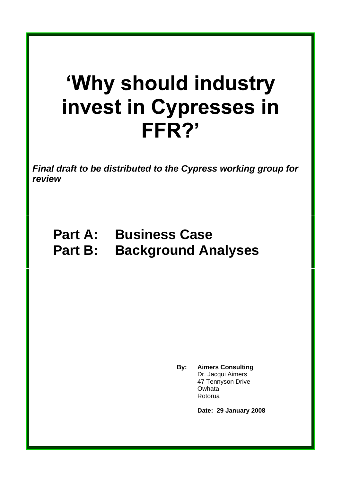# 'Why should industry invest in Cypresses in FFR?'

**Final draft to be distributed to the Cypress working group for review**

## **Part A: Business Case Part B: Background Analyses**

**By: Aimers Consulting** Dr. Jacqui Aimers 47 Tennyson Drive Owhata **District Community Community** Rotorua de la contradición de la contradición de la contradición de la contradición de la contradición de la c

**Date: 29 January 2008**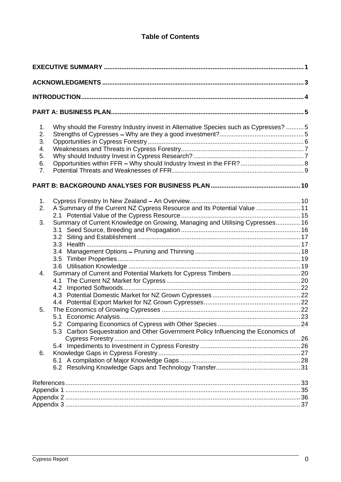## **Table of Contents**

| <b>EXECUTIVE SUMMARY</b>                                                          |     |
|-----------------------------------------------------------------------------------|-----|
| <b>ACKNOWLEDGMENTS.</b>                                                           |     |
| INTRODUCTION.                                                                     |     |
|                                                                                   |     |
| <b>PART A: BUSINESS PLAN.</b>                                                     |     |
| Why should the Forestry Industry invest in Alternative Species such as Cypresses? |     |
| Strengths of Cypresses - Why are they a good investment?                          |     |
| Opportunities in Cypress Forestry                                                 |     |
| Weaknesses and Threats in Cypress Forestry                                        |     |
| Why should Industry Invest in Cypress Research?                                   |     |
| Opportunities within FFR - Why should Industry Invest in the FFR?                 |     |
| Potential Threats and Weaknesses of FFR.                                          |     |
|                                                                                   |     |
| PART B: BACKGROUND ANALYSES FOR BUSINESS PLAN.                                    |     |
|                                                                                   |     |
| Cypress Forestry In New Zealand - An Overview                                     |     |
| 2. A Summary of the Current NZ Cypress Resource and Its Potential Value.          |     |
| 2.1 Potential Value of the Cypress Resource                                       |     |
| 3. Summary of Current Knowledge on Growing, Managing and Utilising Cypresses      |     |
| 3.1 Seed Source, Breeding and Propagation                                         |     |
|                                                                                   |     |
| 3.3 Health                                                                        |     |
|                                                                                   |     |
| 3.5 Timber Properties.                                                            |     |
|                                                                                   |     |
| 3.6 Utilisation Knowledge.                                                        |     |
| Summary of Current and Potential Markets for Cypress Timbers                      |     |
| 4.1 The Current NZ Market for Cypress                                             |     |
| 4.2 Imported Softwoods.                                                           |     |
| 4.3 Potential Domestic Market for NZ Grown Cypresses.                             |     |
| 4.4 Potential Export Market for NZ Grown Cypresses                                |     |
| The Economics of Growing Cypresses.                                               |     |
| 5.1 Economic Analysis                                                             |     |
| 5.2 Comparing Economics of Cypress with Other Species.                            |     |
| 5.3 Carbon Sequestration and Other Government Policy Influencing the Economics of |     |
| Cypress Forestry.                                                                 | .26 |
| 5.4 Impediments to Investment in Cypress Forestry                                 |     |
| 6. Knowledge Gaps in Cypress Forestry.                                            |     |
| 6.1 A compilation of Major Knowledge Gaps                                         |     |
| 6.2 Resolving Knowledge Gaps and Technology Transfer                              |     |
|                                                                                   |     |
| References.                                                                       |     |
| Appendix 1                                                                        | 35  |
| Appendix 2.                                                                       |     |
| Appendix 3                                                                        |     |
|                                                                                   |     |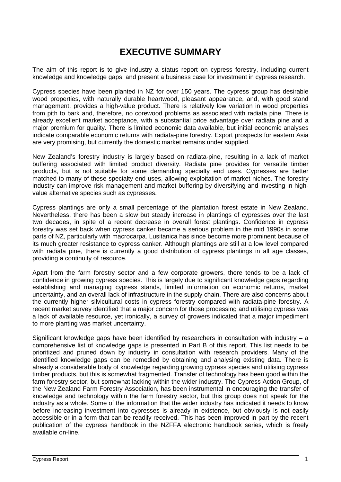## **EXECUTIVE SUMMARY**

The aim of this report is to give industry a status report on cypress forestry, including current knowledge and knowledge gaps, and present a business case for investment in cypress research.

Cypress species have been planted in NZ for over 150 years. The cypress group has desirable wood properties, with naturally durable heartwood, pleasant appearance, and, with good stand management, provides a high-value product. There is relatively low variation in wood properties from pith to bark and, therefore, no corewood problems as associated with radiata pine. There is already excellent market acceptance, with a substantial price advantage over radiata pine and a major premium for quality. There is limited economic data available, but initial economic analyses indicate comparable economic returns with radiata-pine forestry. Export prospects for eastern Asia are very promising, but currently the domestic market remains under supplied.

New Zealand's forestry industry is largely based on radiata-pine, resulting in a lack of market buffering associated with limited product diversity. Radiata pine provides for versatile timber products, but is not suitable for some demanding specialty end uses. Cypresses are better matched to many of these specialty end uses, allowing exploitation of market niches. The forestry industry can improve risk management and market buffering by diversifying and investing in high value alternative species such as cypresses.

Cypress plantings are only a small percentage of the plantation forest estate in New Zealand. Nevertheless, there has been a slow but steady increase in plantings of cypresses over the last two decades, in spite of a recent decrease in overall forest plantings. Confidence in cypress forestry was set back when cypress canker became a serious problem in the mid 1990s in some parts of NZ, particularly with macrocarpa. Lusitanica has since become more prominent because of its much greater resistance to cypress canker. Although plantings are still at a low level compared with radiata pine, there is currently a good distribution of cypress plantings in all age classes, providing a continuity of resource.

Apart from the farm forestry sector and a few corporate growers, there tends to be a lack of confidence in growing cypress species. This is largely due to significant knowledge gaps regarding establishing and managing cypress stands, limited information on economic returns, market uncertainty, and an overall lack of infrastructure in the supply chain. There are also concerns about the currently higher silvicultural costs in cypress forestry compared with radiata-pine forestry. A recent market survey identified that a major concern for those processing and utilising cypress was a lack of available resource, yet ironically, a survey of growers indicated that a major impediment to more planting was market uncertainty.

Significant knowledge gaps have been identified by researchers in consultation with industry  $-$  a comprehensive list of knowledge gaps is presented in Part B of this report. This list needs to be prioritized and pruned down by industry in consultation with research providers. Many of the identified knowledge gaps can be remedied by obtaining and analysing existing data. There is already a considerable body of knowledge regarding growing cypress species and utilising cypress timber products, but this is somewhat fragmented. Transfer of technology has been good within the farm forestry sector, but somewhat lacking within the wider industry. The Cypress Action Group, of the New Zealand Farm Forestry Association, has been instrumental in encouraging the transfer of knowledge and technology within the farm forestry sector, but this group does not speak for the industry as a whole. Some of the information that the wider industry has indicated it needs to know before increasing investment into cypresses is already in existence, but obviously is not easily accessible or in a form that can be readily received. This has been improved in part by the recent publication of the cypress handbook in the NZFFA electronic handbook series, which is freely available on-line.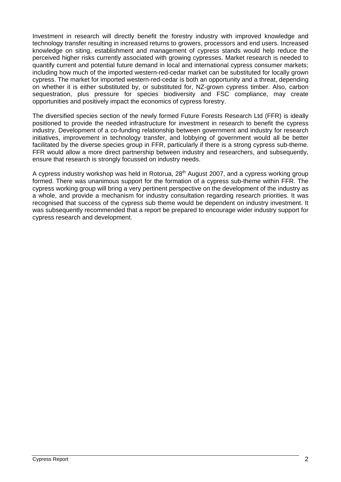Investment in research will directly benefit the forestry industry with improved knowledge and technology transfer resulting in increased returns to growers, processors and end users. Increased knowledge on siting, establishment and management of cypress stands would help reduce the perceived higher risks currently associated with growing cypresses. Market research is needed to quantify current and potential future demand in local and international cypress consumer markets; including how much of the imported western-red-cedar market can be substituted for locally grown cypress. The market for imported western-red-cedar is both an opportunity and a threat, depending on whether it is either substituted by, or substituted for, NZ-grown cypress timber. Also, carbon sequestration, plus pressure for species biodiversity and FSC compliance, may create opportunities and positively impact the economics of cypress forestry.

The diversified species section of the newly formed Future Forests Research Ltd (FFR) is ideally positioned to provide the needed infrastructure for investment in research to benefit the cypress industry. Development of a co-funding relationship between government and industry for research initiatives, improvement in technology transfer, and lobbying of government would all be better facilitated by the diverse species group in FFR, particularly if there is a strong cypress sub-theme. FFR would allow a more direct partnership between industry and researchers, and subsequently, ensure that research is strongly focussed on industry needs.

A cypress industry workshop was held in Rotorua, 28<sup>th</sup> August 2007, and a cypress working group formed. There was unanimous support for the formation of a cypress sub-theme within FFR. The cypress working group will bring a very pertinent perspective on the development of the industry as a whole, and provide a mechanism for industry consultation regarding research priorities. It was recognised that success of the cypress sub theme would be dependent on industry investment. It was subsequently recommended that a report be prepared to encourage wider industry support for cypress research and development.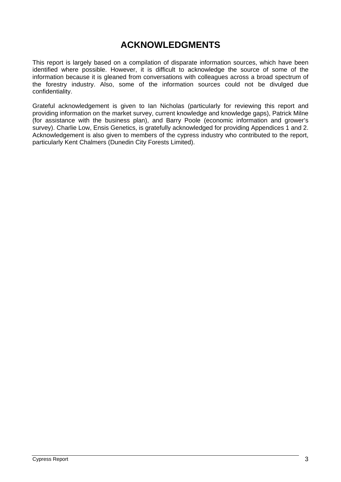## **ACKNOWLEDGMENTS**

This report is largely based on a compilation of disparate information sources, which have been identified where possible. However, it is difficult to acknowledge the source of some of the information because it is gleaned from conversations with colleagues across a broad spectrum of the forestry industry. Also, some of the information sources could not be divulged due confidentiality.

Grateful acknowledgement is given to Ian Nicholas (particularly for reviewing this report and providing information on the market survey, current knowledge and knowledge gaps), Patrick Milne (for assistance with the business plan), and Barry Poole (economic information and grower's survey). Charlie Low, Ensis Genetics, is gratefully acknowledged for providing Appendices 1 and 2. Acknowledgement is also given to members of the cypress industry who contributed to the report, particularly Kent Chalmers (Dunedin City Forests Limited).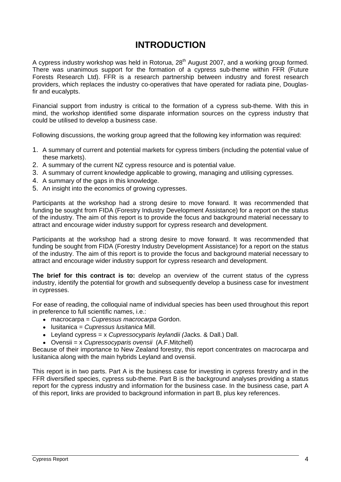## **INTRODUCTION**

A cypress industry workshop was held in Rotorua, 28<sup>th</sup> August 2007, and a working group formed. There was unanimous support for the formation of a cypress sub-theme within FFR (Future Forests Research Ltd). FFR is a research partnership between industry and forest research providers, which replaces the industry co-operatives that have operated for radiata pine, Douglasfir and eucalypts.

Financial support from industry is critical to the formation of a cypress sub-theme. With this in mind, the workshop identified some disparate information sources on the cypress industry that could be utilised to develop a business case.

Following discussions, the working group agreed that the following key information was required:

- 1. A summary of current and potential markets for cypress timbers (including the potential value of these markets).
- 2. A summary of the current NZ cypress resource and is potential value.
- 3. A summary of current knowledge applicable to growing, managing and utilising cypresses.
- 4. A summary of the gaps in this knowledge.
- 5. An insight into the economics of growing cypresses.

Participants at the workshop had a strong desire to move forward. It was recommended that funding be sought from FIDA (Forestry Industry Development Assistance) for a report on the status of the industry. The aim of this report is to provide the focus and background material necessary to attract and encourage wider industry support for cypress research and development.

Participants at the workshop had a strong desire to move forward. It was recommended that funding be sought from FIDA (Forestry Industry Development Assistance) for a report on the status of the industry. The aim of this report is to provide the focus and background material necessary to attract and encourage wider industry support for cypress research and development.

**The brief for this contract is to:** develop an overview of the current status of the cypress industry, identify the potential for growth and subsequently develop a business case for investment in cypresses.

For ease of reading, the colloquial name of individual species has been used throughout this report in preference to full scientific names, i.e.:

- macrocarpa = Cupressus macrocarpa Gordon.
- lusitanica = Cupressus lusitanica Mill.
- **-** Leyland cypress =  $x$  *Cupressocyparis leylandii* (Jacks. & Dall.) Dall.
- Ovensii = x Cupressocyparis ovensii (A.F.Mitchell)

Because of their importance to New Zealand forestry, this report concentrates on macrocarpa and lusitanica along with the main hybrids Leyland and ovensii.

This report is in two parts. Part A is the business case for investing in cypress forestry and in the FFR diversified species, cypress sub-theme. Part B is the background analyses providing a status report for the cypress industry and information for the business case. In the business case, part A of this report, links are provided to background information in part B, plus key references.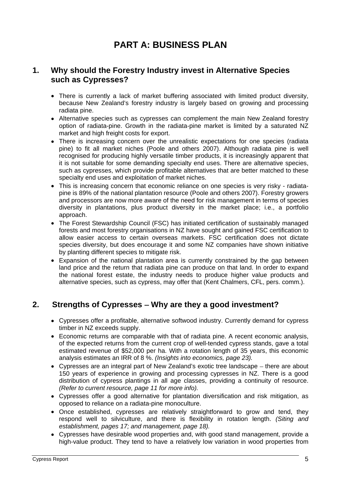## **PART A: BUSINESS PLAN**

## **1. Why should the Forestry Industry invest in Alternative Species such as Cypresses?**

- There is currently a lack of market buffering associated with limited product diversity, because New Zealand's forestry industry is largely based on growing and processing radiata pine.
- Alternative species such as cypresses can complement the main New Zealand forestry option of radiata-pine. Growth in the radiata-pine market is limited by a saturated NZ market and high freight costs for export.
- There is increasing concern over the unrealistic expectations for one species (radiata pine) to fit all market niches (Poole and others 2007). Although radiata pine is well recognised for producing highly versatile timber products, it is increasingly apparent that it is not suitable for some demanding specialty end uses. There are alternative species, such as cypresses, which provide profitable alternatives that are better matched to these specialty end uses and exploitation of market niches.
- This is increasing concern that economic reliance on one species is very risky radiata pine is 89% of the national plantation resource (Poole and others 2007). Forestry growers and processors are now more aware of the need for risk management in terms of species diversity in plantations, plus product diversity in the market place; i.e., a portfolio approach.
- The Forest Stewardship Council (FSC) has initiated certification of sustainably managed forests and most forestry organisations in NZ have sought and gained FSC certification to allow easier access to certain overseas markets. FSC certification does not dictate species diversity, but does encourage it and some NZ companies have shown initiative by planting different species to mitigate risk.
- Expansion of the national plantation area is currently constrained by the gap between land price and the return that radiata pine can produce on that land. In order to expand the national forest estate, the industry needs to produce higher value products and alternative species, such as cypress, may offer that (Kent Chalmers, CFL, pers. comm.).

## **2. Strengths of Cypresses Why are they a good investment?**

- Cypresses offer a profitable, alternative softwood industry. Currently demand for cypress timber in NZ exceeds supply.
- Economic returns are comparable with that of radiata pine. A recent economic analysis, of the expected returns from the current crop of well-tended cypress stands, gave a total estimated revenue of \$52,000 per ha. With a rotation length of 35 years, this economic analysis estimates an IRR of 8 %. (Insights into economics, page 23).
- Cypresses are an integral part of New Zealand's exotic tree landscape there are about 150 years of experience in growing and processing cypresses in NZ. There is a good distribution of cypress plantings in all age classes, providing a continuity of resource. (Refer to current resource, page 11 for more info).
- Cypresses offer a good alternative for plantation diversification and risk mitigation, as opposed to reliance on a radiata-pine monoculture.
- Once established, cypresses are relatively straightforward to grow and tend, they respond well to silviculture, and there is flexibility in rotation length. (Siting and establishment, pages 17; and management, page 18).
- Cypresses have desirable wood properties and, with good stand management, provide a high-value product. They tend to have a relatively low variation in wood properties from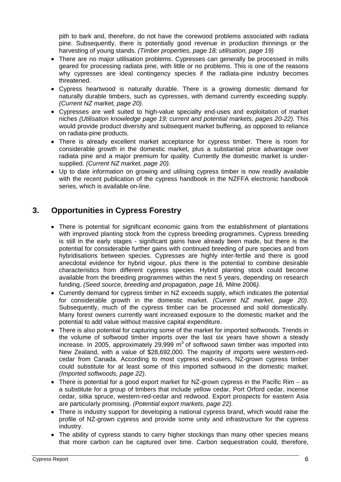pith to bark and, therefore, do not have the corewood problems associated with radiata pine. Subsequently, there is potentially good revenue in production thinnings or the harvesting of young stands. (Timber properties, page 18; utilisation, page 19)

- There are no major utilisation problems. Cypresses can generally be processed in mills geared for processing radiata pine, with little or no problems. This is one of the reasons why cypresses are ideal contingency species if the radiata-pine industry becomes threatened. The contract of the contract of the contract of the contract of the contract of the contract of the contract of the contract of the contract of the contract of the contract of the contract of the contract of th
- Cypress heartwood is naturally durable. There is a growing domestic demand for naturally durable timbers, such as cypresses, with demand currently exceeding supply. (Current NZ market, page 20).
- Cypresses are well suited to high-value specialty end-uses and exploitation of market niches (Utilisation knowledge page 19; current and potential markets, pages 20-22). This would provide product diversity and subsequent market buffering, as opposed to reliance on radiata-pine products.
- There is already excellent market acceptance for cypress timber. There is room for considerable growth in the domestic market, plus a substantial price advantage over radiata pine and a major premium for quality. Currently the domestic market is under supplied. (Current NZ market, page 20).
- Up to date information on growing and utilising cypress timber is now readily available with the recent publication of the cypress handbook in the NZFFA electronic handbook series, which is available on-line.

## **3. Opportunities in Cypress Forestry**

- There is potential for significant economic gains from the establishment of plantations with improved planting stock from the cypress breeding programmes. Cypress breeding is still in the early stages - significant gains have already been made, but there is the potential for considerable further gains with continued breeding of pure species and from hybridisations between species. Cypresses are highly inter-fertile and there is good anecdotal evidence for hybrid vigour, plus there is the potential to combine desirable characteristics from different cypress species. Hybrid planting stock could become available from the breeding programmes within the next 5 years, depending on research funding. (Seed source, breeding and propagation, page 16, Milne 2006).
- Currently demand for cypress timber in NZ exceeds supply, which indicates the potential for considerable growth in the domestic market. (Current NZ market, page 20). Subsequently, much of the cypress timber can be processed and sold domestically. Many forest owners currently want increased exposure to the domestic market and the potential to add value without massive capital expenditure.
- There is also potential for capturing some of the market for imported softwoods. Trends in the volume of softwood timber imports over the last six years have shown a steady increase. In 2005, approximately 29,999 m<sup>3</sup> of softwood sawn timber was imported into New Zealand, with a value of \$28,692,000. The majority of imports were western-red cedar from Canada. According to most cypress end-users, NZ-grown cypress timber could substitute for at least some of this imported softwood in the domestic market. (Imported softwoods, page 22).
- $\bullet$  There is potential for a good export market for NZ-grown cypress in the Pacific Rim as a substitute for a group of timbers that include yellow cedar, Port Orford cedar, incense cedar, sitka spruce, western-red-cedar and redwood. Export prospects for eastern Asia are particularly promising. (Potential export markets, page 22).
- There is industry support for developing a national cypress brand, which would raise the profile of NZ-grown cypress and provide some unity and infrastructure for the cypress industry.
- The ability of cypress stands to carry higher stockings than many other species means that more carbon can be captured over time. Carbon sequestration could, therefore,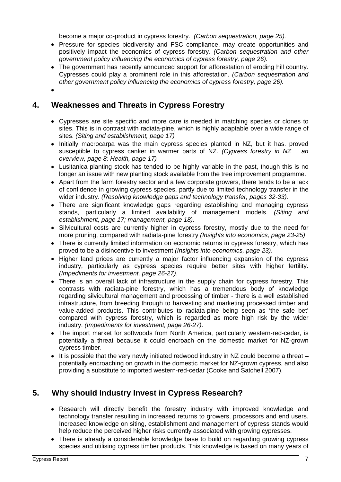become a major co-product in cypress forestry. (Carbon sequestration, page 25).

- Pressure for species biodiversity and FSC compliance, may create opportunities and positively impact the economics of cypress forestry. (Carbon sequestration and other government policy influencing the economics of cypress forestry, page 26).
- The government has recently announced support for afforestation of eroding hill country. Cypresses could play a prominent role in this afforestation. (Carbon sequestration and other government policy influencing the economics of cypress forestry, page 26).
- 

## **4. Weaknesses and Threats in Cypress Forestry**

- Cypresses are site specific and more care is needed in matching species or clones to sites. This is in contrast with radiata-pine, which is highly adaptable over a wide range of sites. (Siting and establishment, page 17)
- Initially macrocarpa was the main cypress species planted in NZ, but it has. proved susceptible to cypress canker in warmer parts of NZ. (Cypress forestry in  $NZ - an$ overview, page 8; Health, page 17)
- Lusitanica planting stock has tended to be highly variable in the past, though this is no longer an issue with new planting stock available from the tree improvement programme.
- Apart from the farm forestry sector and a few corporate growers, there tends to be a lack of confidence in growing cypress species, partly due to limited technology transfer in the wider industry. (Resolving knowledge gaps and technology transfer, pages 32-33).
- There are significant knowledge gaps regarding establishing and managing cypress stands, particularly a limited availability of management models. (Siting and establishment, page 17; management, page 18).
- Silvicultural costs are currently higher in cypress forestry, mostly due to the need for more pruning, compared with radiata-pine forestry (Insights into economics, page 23-25).
- There is currently limited information on economic returns in cypress forestry, which has proved to be a disincentive to investment *(Insights into economics, page 23)*.<br>• Higher land prices are currently a major factor influencing expansion of the cypress
- industry, particularly as cypress species require better sites with higher fertility. (Impediments for investment, page 26-27).
- There is an overall lack of infrastructure in the supply chain for cypress forestry. This contrasts with radiata-pine forestry, which has a tremendous body of knowledge regarding silvicultural management and processing of timber - there is a well established infrastructure, from breeding through to harvesting and marketing processed timber and value-added products. This contributes to radiata-pine being seen as 'the safe bet' compared with cypress forestry, which is regarded as more high risk by the wider industry. (Impediments for investment, page 26-27).
- The import market for softwoods from North America, particularly western-red-cedar, is potentially a threat because it could encroach on the domestic market for NZ-grown cypress timber.
- $\bullet$  It is possible that the very newly initiated redwood industry in NZ could become a threat  $$ potentially encroaching on growth in the domestic market for NZ-grown cypress, and also providing a substitute to imported western-red-cedar (Cooke and Satchell 2007).

## **5. Why should Industry Invest in Cypress Research?**

- Research will directly benefit the forestry industry with improved knowledge and technology transfer resulting in increased returns to growers, processors and end users. Increased knowledge on siting, establishment and management of cypress stands would help reduce the perceived higher risks currently associated with growing cypresses.
- There is already a considerable knowledge base to build on regarding growing cypress species and utilising cypress timber products. This knowledge is based on many years of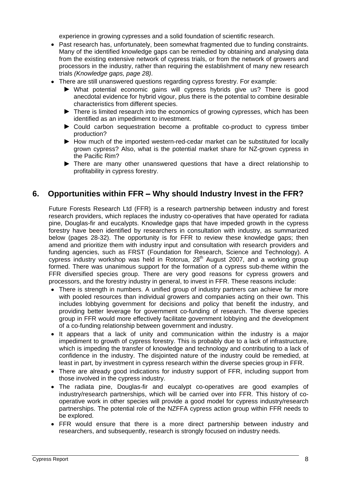experience in growing cypresses and a solid foundation of scientific research.

- Past research has, unfortunately, been somewhat fragmented due to funding constraints. Many of the identified knowledge gaps can be remedied by obtaining and analysing data from the existing extensive network of cypress trials, or from the network of growers and processors in the industry, rather than requiring the establishment of manynew research trials (Knowledge gaps, page 28).
- There are still unanswered questions regarding cypress forestry. For example:
	- What potential economic gains will cypress hybrids give us? There is good anecdotal evidence for hybrid vigour, plus there is the potential to combine desirable characteristics from different species.
	- ▶ There is limited research into the economics of growing cypresses, which has been identified as an impediment to investment.
	- Could carbon sequestration become a profitable co-product to cypress timber production?
	- How much of the imported western-red-cedar market can be substituted for locally grown cypress? Also, what is the potential market share for NZ-grown cypress in the Pacific Rim?
	- There are many other unanswered questions that have a direct relationship to profitability in cypress forestry.

## **6. Opportunities within FFR Why should Industry Invest in the FFR?**

Future Forests Research Ltd (FFR) is a research partnership between industry and forest research providers, which replaces the industry co-operatives that have operated for radiata pine, Douglas-fir and eucalypts. Knowledge gaps that have impeded growth in the cypress forestry have been identified by researchers in consultation with industry, as summarized below (pages 28-32). The opportunity is for FFR to review these knowledge gaps; then amend and prioritize them with industry input and consultation with research providers and funding agencies, such as FRST (Foundation for Research, Science and Technology). A cypress industry workshop was held in Rotorua, 28<sup>th</sup> August 2007, and a working group formed. There was unanimous support for the formation of a cypress sub-theme within the FFR diversified species group. There are very good reasons for cypress growers and processors, and the forestry industry in general, to invest in FFR. These reasons include:

- There is strength in numbers. A unified group of industry partners can achieve far more with pooled resources than individual growers and companies acting on their own. This includes lobbying government for decisions and policy that benefit the industry, and providing better leverage for government co-funding of research. The diverse species group in FFR would more effectively facilitate government lobbying and the development of a co-funding relationship between government and industry.
- It appears that a lack of unity and communication within the industry is a major impediment to growth of cypress forestry. This is probably due to a lack of infrastructure, which is impeding the transfer of knowledge and technology and contributing to a lack of confidence in the industry. The disjointed nature of the industry could be remedied, at least in part, by investment in cypress research within the diverse species group in FFR.
- There are already good indications for industry support of FFR, including support from those involved in the cypress industry.
- The radiata pine, Douglas-fir and eucalypt co-operatives are good examples of industry/research partnerships, which will be carried over into FFR. This history of co operative work in other species will provide a good model for cypress industry/research partnerships. The potential role of the NZFFA cypress action group within FFR needs to be explored.
- FFR would ensure that there is a more direct partnership between industry and researchers, and subsequently, research is strongly focused on industry needs.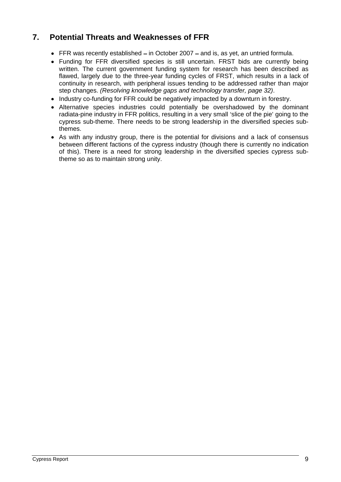## **7. Potential Threats and Weaknesses of FFR**

- $\bullet$  FFR was recently established  $-$  in October 2007  $-$  and is, as yet, an untried formula.
- Funding for FFR diversified species is still uncertain. FRST bids are currently being written. The current government funding system for research has been described as flawed, largely due to the three-year funding cycles of FRST, which results in a lack of continuity in research, with peripheral issues tending to be addressed rather than major step changes. (Resolving knowledge gaps and technology transfer, page 32).
- Industry co-funding for FFR could be negatively impacted by a downturn in forestry.
- Alternative species industries could potentially be overshadowed by the dominant radiata-pine industry in FFR politics, resulting in a very small 'slice of the pie' going to the cypress sub-theme. There needs to be strong leadership in the diversified species subthemes. The contract of the contract of the contract of the contract of the contract of the contract of the contract of the contract of the contract of the contract of the contract of the contract of the contract of the co
- As with any industry group, there is the potential for divisions and a lack of consensus between different factions of the cypress industry (though there is currently no indication of this). There is a need for strong leadership in the diversified species cypress subtheme so as to maintain strong unity.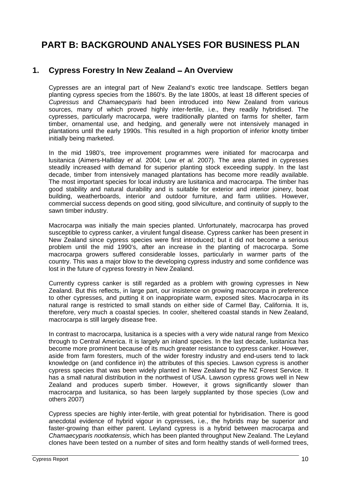## **PART B: BACKGROUND ANALYSES FOR BUSINESS PLAN**

## 1. Cypress Forestry In New Zealand - An Overview

Cypresses are an integral part of New Zealand's exotic tree landscape. Settlers began planting cypress species from the 1860's. By the late 1800s, at least 18 different species of Cupressus and Chamaecyparis had been introduced into New Zealand from various sources, many of which proved highly inter-fertile, i.e., they readily hybridised. The cypresses, particularly macrocarpa, were traditionally planted on farms for shelter, farm timber, ornamental use, and hedging, and generally were not intensively managed in plantations until the early 1990s. This resulted in a high proportion of inferior knotty timber initially being marketed.

In the mid 1980's, tree improvement programmes were initiated for macrocarpa and lusitanica (Aimers-Halliday et al. 2004; Low et al. 2007). The area planted in cypresses steadily increased with demand for superior planting stock exceeding supply. In the last decade, timber from intensively managed plantations has become more readily available. The most important species for local industry are lusitanica and macrocarpa. The timber has good stability and natural durability and is suitable for exterior and interior joinery, boat building, weatherboards, interior and outdoor furniture, and farm utilities. However, commercial success depends on good siting, good silviculture, and continuity of supply to the sawn timber industry.

Macrocarpa was initially the main species planted. Unfortunately, macrocarpa has proved susceptible to cypress canker, a virulent fungal disease. Cypress canker has been present in New Zealand since cypress species were first introduced; but it did not become a serious problem until the mid 1990's, after an increase in the planting of macrocarpa. Some macrocarpa growers suffered considerable losses, particularly in warmer parts of the country. This was a major blow to the developing cypress industry and some confidence was lost in the future of cypress forestry in New Zealand.

Currently cypress canker is still regarded as a problem with growing cypresses in New Zealand. But this reflects, in large part, our insistence on growing macrocarpa in preference to other cypresses, and putting it on inappropriate warm, exposed sites. Macrocarpa in its natural range is restricted to small stands on either side of Carmel Bay, California. It is, therefore, very much a coastal species. In cooler, sheltered coastal stands in New Zealand, macrocarpa is still largely disease free.

In contrast to macrocarpa, lusitanica is a species with a very wide natural range from Mexico through to Central America. It is largely an inland species. In the last decade, lusitanica has become more prominent because of its much greater resistance to cypress canker. However, aside from farm foresters, much of the wider forestry industry and end-users tend to lack knowledge on (and confidence in) the attributes of this species. Lawson cypress is another cypress species that was been widely planted in New Zealand by the NZ Forest Service. It has a small natural distribution in the northwest of USA. Lawson cypress grows well in New Zealand and produces superb timber. However, it grows significantly slower than macrocarpa and lusitanica, so has been largely supplanted by those species (Low and others 2007)

Cypress species are highly inter-fertile, with great potential for hybridisation. There is good anecdotal evidence of hybrid vigour in cypresses, i.e., the hybrids may be superior and faster-growing than either parent. Leyland cypress is a hybrid between macrocarpa and Chamaecyparis nootkatensis, which has been planted throughput New Zealand. The Leyland clones have been tested on a number of sites and form healthy stands of well-formed trees,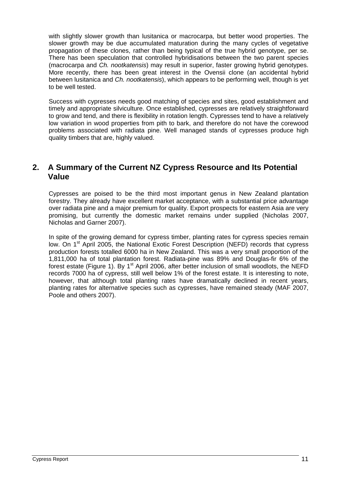with slightly slower growth than lusitanica or macrocarpa, but better wood properties. The slower growth may be due accumulated maturation during the many cycles of vegetative propagation of these clones, rather than being typical of the true hybrid genotype, per se. There has been speculation that controlled hybridisations between the two parent species (macrocarpa and Ch. nootkatensis) may result in superior, faster growing hybrid genotypes. More recently, there has been great interest in the Ovensii clone (an accidental hybrid between lusitanica and Ch. nootkatensis), which appears to be performing well, though is yet to be well tested.

Success with cypresses needs good matching of species and sites, good establishment and timely and appropriate silviculture. Once established, cypresses are relatively straightforward to grow and tend, and there is flexibility in rotation length. Cypresses tend to have a relatively low variation in wood properties from pith to bark, and therefore do not have the corewood problems associated with radiata pine. Well managed stands of cypresses produce high quality timbers that are, highly valued.

## **2. A Summary of the Current NZ Cypress Resource and Its Potential Value**

Cypresses are poised to be the third most important genus in New Zealand plantation forestry. They already have excellent market acceptance, with a substantial price advantage over radiata pine and a major premium for quality. Export prospects for eastern Asia are very promising, but currently the domestic market remains under supplied (Nicholas 2007, Nicholas and Garner 2007).

In spite of the growing demand for cypress timber, planting rates for cypress species remain low. On 1<sup>st</sup> April 2005, the National Exotic Forest Description (NEFD) records that cypress production forests totalled 6000 ha in New Zealand. This was a very small proportion of the 1,811,000 ha of total plantation forest. Radiata-pine was 89% and Douglas-fir 6% of the forest estate (Figure 1). By 1<sup>st</sup> April 2006, after better inclusion of small woodlots, the NEFD records 7000 ha of cypress, still well below 1% of the forest estate. It is interesting to note, however, that although total planting rates have dramatically declined in recent years, planting rates for alternative species such as cypresses, have remained steady (MAF 2007, Poole and others 2007).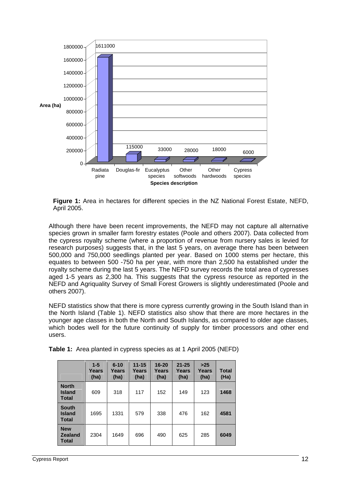

**Figure 1:** Area in hectares for different species in the NZ National Forest Estate, NEFD, April 2005.

Although there have been recent improvements, the NEFD may not capture all alternative species grown in smaller farm forestry estates (Poole and others 2007). Data collected from the cypress royalty scheme (where a proportion of revenue from nursery sales is levied for research purposes) suggests that, in the last 5 years, on average there has been between 500,000 and 750,000 seedlings planted per year. Based on 1000 stems per hectare, this equates to between 500 -750 ha per year, with more than 2,500 ha established under the royalty scheme during the last 5 years. The NEFD survey records the total area of cypresses aged 1-5 years as 2,300 ha. This suggests that the cypress resource as reported in the NEFD and Agriquality Survey of Small Forest Growers is slightly underestimated (Poole and others 2007).

NEFD statistics show that there is more cypress currently growing in the South Island than in the North Island (Table 1). NEFD statistics also show that there are more hectares in the younger age classes in both the North and South Islands, as compared to older age classes, which bodes well for the future continuity of supply for timber processors and other end users. The contract of the contract of the contract of the contract of the contract of the contract of the contract of the contract of the contract of the contract of the contract of the contract of the contract of the con

|                          | $1-5$<br>Years<br>(ha) | 6-10<br>Years<br>(ha) |     |     |     |     |      |
|--------------------------|------------------------|-----------------------|-----|-----|-----|-----|------|
| North<br>Island<br>Total | 609                    | 318                   | 117 | 152 | 149 | 123 | 1468 |
| South<br>Island<br>Total | 1695                   | 1331                  | 579 | 338 | 476 | 162 | 4581 |
| New<br>Zealand<br>Total  | 2304                   | 1649                  | 696 | 490 | 625 | 285 | 6049 |

**Table 1:** Area planted in cypress species as at 1 April 2005 (NEFD)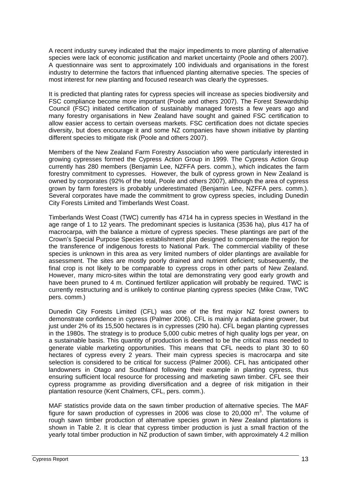A recent industry survey indicated that the major impediments to more planting of alternative species were lack of economic justification and market uncertainty (Poole and others 2007). A questionnaire was sent to approximately <sup>100</sup> individuals and organisations in the forest industry to determine the factors that influenced planting alternative species. The species of most interest for new planting and focused research was clearly the cypresses.

It is predicted that planting rates for cypress species will increase as species biodiversityand FSC compliance become more important (Poole and others 2007). The Forest Stewardship Council (FSC) initiated certification of sustainably managed forests a few years ago and many forestry organisations in New Zealand have sought and gained FSC certification to allow easier access to certain overseas markets. FSC certification does not dictate species diversity, but does encourage it and some NZ companies have shown initiative by planting different species to mitigate risk (Poole and others 2007).

Members of the New Zealand Farm Forestry Association who were particularly interestedin growing cypresses formed the Cypress Action Group in 1999. The CypressAction Group currently has 280 members (Benjamin Lee, NZFFA pers. comm.), which indicates the farm forestry commitment to cypresses. However, the bulk of cypress grown in New Zealand is owned by corporates (92% of the total, Poole and others 2007), although the area of cypress grown by farm foresters is probably underestimated (Benjamin Lee, NZFFA pers. comm.). Several corporates have made the commitment to grow cypress species, including Dunedin City Forests Limited and Timberlands West Coast.

Timberlands West Coast (TWC) currently has 4714 ha in cypress species in Westland in the age range of 1 to 12 years. The predominant species is lusitanica (3536 ha), plus 417 ha of macrocarpa, with the balance a mixture of cypress species. These plantings are part of the Crown's Special Purpose Species establishment plan designed to compensate the region for the transference of indigenous forests to National Park. The commercial viability of these species is unknown in this area as very limited numbers of older plantings are available for assessment. The sites are mostly poorly drained and nutrient deficient; subsequently, the final crop is not likely to be comparable to cypress crops in other parts of New Zealand. However, many micro-sites within the total are demonstrating very good early growth and have been pruned to 4 m. Continued fertilizer application will probably be required. TWC is currently restructuring and is unlikely to continue planting cypress species (Mike Craw, TWC pers. comm.)

Dunedin City Forests Limited (CFL) was one of the first major NZ forest owners to demonstrate confidence in cypress (Palmer 2006). CFL is mainly a radiata-pine grower, but just under 2% of its 15,500 hectares is in cypresses (290 ha). CFL began planting cypresses in the 1980s. The strategy is to produce 5,000 cubic metres of high quality logs per year, on a sustainable basis. This quantity of production is deemed to be the critical mass needed to generate viable marketing opportunities. This means that CFL needs to plant 30 to 60 hectares of cypress every 2 years. Their main cypress species is macrocarpa and site selection is considered to be critical for success(Palmer 2006). CFL has anticipated other landowners in Otago and Southland following their example in planting cypress, thus ensuring sufficient local resource for processing and marketing sawn timber. CFL see their cypress programme as providing diversification and a degree of risk mitigation in their plantation resource (Kent Chalmers, CFL, pers. comm.).

MAF statistics provide data on the sawn timber production of alternative species. The MAF figure for sawn production of cypresses in 2006 was close to 20,000  $m<sup>3</sup>$ . The volume of  $3$  Thoughly of . The volume of rough sawn timber production of alternative species grown in New Zealand plantations is shown in Table 2. It is clear that cypress timber production is just a small fraction of the yearly total timber production in NZ production of sawn timber, with approximately 4.2 million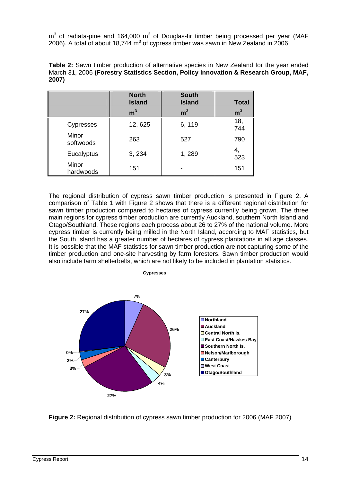$\textsf{m}^{3}$  of radiata-pine and 164,000  $\textsf{m}^{3}$  of Douglas-fir timber being processed per year (MAF 2006). A total of about 18,744 m<sup>3</sup> of cypress timber was sawn in New Zealand in 2006

|            | <b>North</b><br><b>Island</b> | South<br>Island | Total               |
|------------|-------------------------------|-----------------|---------------------|
|            | $\sim$                        |                 |                     |
| Cypresses  | 12, 625                       | 6, 119          | $-1$                |
|            |                               |                 | 744 L               |
| Minor      | 263                           | 527             | 700                 |
| softwoods  |                               |                 | 790 L               |
| Eucalyptus | 3, 234                        | 1, 289          | ວ∠ວ                 |
| Minor      |                               |                 | $\lambda = \lambda$ |
| hardwoods  | 151                           |                 |                     |

**Table 2:** Sawn timber production of alternative species in New Zealand for the year ended March 31, 2006 **(Forestry Statistics Section, Policy Innovation & Research Group, MAF, 2007)**

The regional distribution of cypress sawn timber production is presented in Figure 2. A comparison of Table 1 with Figure 2 shows that there is a different regional distribution for sawn timber production compared to hectares of cypress currently being grown. The three main regions for cypress timber production are currently Auckland, southern North Island and Otago/Southland. These regions each process about 26 to 27% of the national volume. More cypress timber is currently being milled in the North Island, according to MAF statistics, but the South Island has a greater number of hectares of cypress plantations in all age classes. It is possible that the MAF statistics for sawn timber production are not capturing some of the timber production and one-site harvesting by farm foresters. Sawn timber production would also include farm shelterbelts, which are not likely to be included in plantation statistics.



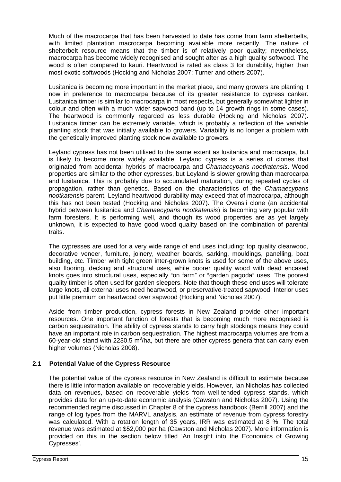Much of the macrocarpa that has been harvested to date has come from farm shelterbelts, with limited plantation macrocarpa becoming available more recently. The nature of shelterbelt resource means that the timber is of relatively poor quality; nevertheless, macrocarpa has become widely recognised and sought after as a high quality softwood. The wood is often compared to kauri. Heartwood is rated as class 3 for durability, higher than most exotic softwoods (Hocking and Nicholas 2007; Turner and others 2007).

Lusitanica is becoming more important in the market place, and many growers are planting it now in preference to macrocarpa because of its greater resistance to cypress canker. Lusitanica timber is similar to macrocarpa in most respects, but generally somewhat lighter in colour and often with a much wider sapwood band (up to 14 growth rings in some cases). The heartwood is commonly regarded as less durable (Hocking and Nicholas 2007). Lusitanica timber can be extremely variable, which is probably a reflection of the variable planting stock that was initially available to growers. Variability is no longer a problem with the genetically improved planting stock now available to growers.

Leyland cypress has not been utilised to the same extent as lusitanica and macrocarpa, but is likely to become more widely available. Leyland cypress is a series of clones that originated from accidental hybrids of macrocarpa and Chamaecyparis nootkatensis. Wood properties are similar to the other cypresses, but Leyland is slower growing than macrocarpa and lusitanica. This is probably due to accumulated maturation, during repeated cycles of propagation, rather than genetics. Based on the characteristics of the Chamaecyparis nootkatensis parent. Levland heartwood durability may exceed that of macrocarpa, although this has not been tested (Hocking and Nicholas 2007). The Ovensii clone (an accidental hybrid between lusitanica and *Chamaecyparis nootkatensis*) is becoming very popular with farm foresters. It is performing well, and though its wood properties are as yet largely unknown, it is expected to have good wood quality based on the combination of parental traits.

The cypresses are used for a very wide range of end uses including: top quality clearwood, decorative veneer, furniture, joinery, weather boards, sarking, mouldings, panelling, boat building, etc. Timber with tight green inter-grown knots is used for some of the above uses, also flooring, decking and structural uses, while poorer quality wood with dead encased knots goes into structural uses, especially "on farm" or "garden pagoda" uses. The poorest quality timber is often used for garden sleepers. Note that though these end uses will tolerate large knots, all external uses need heartwood, or preservative-treated sapwood. Interior uses put little premium on heartwood over sapwood (Hocking and Nicholas 2007).

Aside from timber production, cypress forests in New Zealand provide other important resources. One important function of forests that is becoming much more recognised is carbon sequestration. The ability of cypress stands to carry high stockings means they could have an important role in carbon sequestration. The highest macrocarpa volumes are from a 60-year-old stand with 2230.5 m<sup>3</sup>/ha, but there are other cypress genera that can carry even higher volumes (Nicholas 2008).

## **2.1 Potential Value of the Cypress Resource**

The potential value of the cypress resource in New Zealand is difficult to estimate because there is little information available on recoverable yields. However, Ian Nicholas has collected data on revenues, based on recoverable yields from well-tended cypress stands, which provides data for an up-to-date economic analysis (Cawston and Nicholas 2007). Using the recommended regime discussed in Chapter 8 of the cypress handbook (Berrill 2007) and the range of log types from the MARVL analysis, an estimate of revenue from cypress forestry was calculated. With a rotation length of 35 years, IRR was estimated at 8 %. The total revenue was estimated at \$52,000 per ha (Cawston and Nicholas 2007). More information is provided on this in the section below titled 'An Insight into the Economics of Growing Cypresses .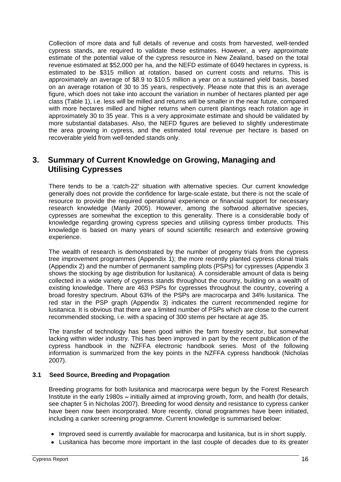Collection of more data and full details of revenue and costs from harvested, well-tended cypress stands, are required to validate these estimates. However, a very approximate estimate of the potential value of the cypress resource in New Zealand, based on the total revenue estimated at \$52,000 per ha, and the NEFD estimate of 6049 hectares in cypress, is estimated to be \$315 million at rotation, based on current costs and returns. This is approximately an average of \$8.9 to \$10.5 million a year on a sustained yield basis, based on an average rotation of 30 to 35 years, respectively. Please note that this is an average figure, which does not take into account the variation in number of hectares planted per age class (Table 1), i.e. less will be milled and returns will be smaller in the near future, compared with more hectares milled and higher returns when current plantings reach rotation age in approximately 30 to 35 year. This is a very approximate estimate and should be validated by more substantial databases. Also, the NEFD figures are believed to slightly underestimate the area growing in cypress, and the estimated total revenue per hectare is based on recoverable yield from well-tended stands only.

## **3. Summary of Current Knowledge on Growing, Managing and Utilising Cypresses**

There tends to be a 'catch-22' situation with alternative species. Our current knowledge generally does not provide the confidence for large-scale estate, but there is not the scale of resource to provide the required operational experience or financial support for necessary research knowledge (Manly 2005). However, among the softwood alternative species, cypresses are somewhat the exception to this generality. There is a considerable body of knowledge regarding growing cypress species and utilising cypress timber products. This knowledge is based on many years of sound scientific research and extensive growing experience.

The wealth of research is demonstrated by the number of progeny trials from the cypress tree improvement programmes (Appendix 1); the more recently planted cypress clonal trials (Appendix 2) and the number of permanent sampling plots (PSPs) for cypresses (Appendix 3 shows the stocking by age distribution for lusitanica). A considerable amount of data is being collected in a wide variety of cypress stands throughout the country, building on a wealth of existing knowledge. There are 463 PSPs for cypresses throughout the country, covering a broad forestry spectrum. About 63% of the PSPs are macrocarpa and 34% lusitanica. The red star in the PSP graph (Appendix 3) indicates the current recommended regime for lusitanica. It is obvious that there are a limited number of PSPs which are close to the current recommended stocking, i.e. with a spacing of 300 stems per hectare at age 35.

The transfer of technology has been good within the farm forestry sector, but somewhat lacking within wider industry. This has been improved in part by the recent publication of the cypress handbook in the NZFFA electronic handbook series. Most of the following information is summarized from the key points in the NZFFA cypress handbook (Nicholas 2007).

## **3.1 Seed Source, Breeding and Propagation**

Breeding programs for both lusitanica and macrocarpa were begun by the Forest Research Institute in the early 1980s – initially aimed at improving growth, form, and health (for details, see chapter 5 in Nicholas 2007). Breeding for wood density and resistance to cypress canker have been now been incorporated. More recently, clonal programmes have been initiated, including a canker screening programme. Current knowledge is summarised below:

- Improved seed is currently available for macrocarpa and lusitanica, but is in short supply.
- Lusitanica has become more important in the last couple of decades due to its greater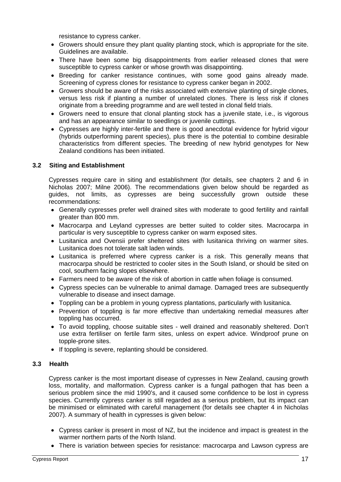resistance to cypress canker.

- Growers should ensure they plant quality planting stock, which is appropriate for the site. Guidelines are available.
- There have been some big disappointments from earlier released clones that were susceptible to cypress canker or whose growth was disappointing.
- Breeding for canker resistance continues, with some good gains already made. Screening of cypress clones for resistance to cypress canker began in 2002.
- Growers should be aware of the risks associated with extensive planting of single clones, versus less risk if planting a number of unrelated clones. There is less risk if clones originate from a breeding programme and are well tested in clonal field trials.
- Growers need to ensure that clonal planting stock has a juvenile state, i.e., is vigorous and has an appearance similar to seedlings or juvenile cuttings.
- Cypresses are highly inter-fertile and there is good anecdotal evidence for hybrid vigour (hybrids outperforming parent species), plus there is the potential to combine desirable characteristics from different species. The breeding of new hybrid genotypes for New Zealand conditions has been initiated.

## **3.2 Siting and Establishment**

Cypresses require care in siting and establishment (for details, see chapters 2 and 6 in Nicholas 2007; Milne 2006). The recommendations given below should be regarded as guides, not limits, as cypresses are being successfully grown outside these recommendations:

- Generally cypresses prefer well drained sites with moderate to good fertility and rainfall greater than 800 mm.
- Macrocarpa and Leyland cypresses are better suited to colder sites. Macrocarpa in particular is very susceptible to cypress canker on warm exposed sites.
- Lusitanica and Ovensii prefer sheltered sites with lusitanica thriving on warmer sites. Lusitanica does not tolerate salt laden winds.
- Lusitanica is preferred where cypress canker is a risk. This generally means that macrocarpa should be restricted to cooler sites in the South Island, or should be sited on cool, southern facing slopes elsewhere.
- Farmers need to be aware of the risk of abortion in cattle when foliage is consumed.
- Cypress species can be vulnerable to animal damage. Damaged trees are subsequently vulnerable to disease and insect damage.
- Toppling can be a problem in young cypress plantations, particularly with lusitanica.
- Prevention of toppling is far more effective than undertaking remedial measures after toppling has occurred.
- To avoid toppling, choose suitable sites well drained and reasonably sheltered. Don't use extra fertiliser on fertile farm sites, unless on expert advice. Windproof prune on topple-prone sites.
- If toppling is severe, replanting should be considered.

#### **3.3 Health**

Cypress canker is the most important disease of cypresses in New Zealand, causing growth loss, mortality, and malformation. Cypress canker is a fungal pathogen that has been a serious problem since the mid 1990's, and it caused some confidence to be lost in cypress species. Currently cypress canker is still regarded as a serious problem, but its impact can be minimised or eliminated with careful management (for details see chapter 4 in Nicholas 2007). A summary of health in cypresses is given below:

- Cypress canker is present in most of NZ, but the incidence and impact is greatest in the warmer northern parts of the North Island.
- There is variation between species for resistance: macrocarpa and Lawson cypress are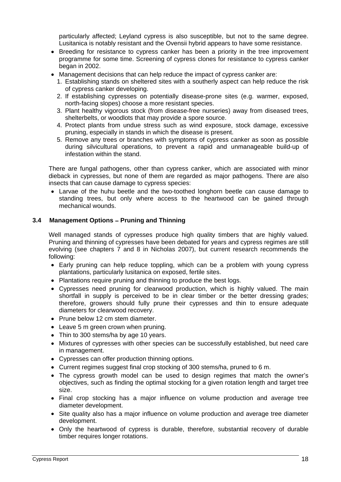particularly affected; Leyland cypress is also susceptible, but not to the same degree. Lusitanica is notably resistant and the Ovensii hybrid appears to have some resistance.

- Breeding for resistance to cypress canker has been a priority in the tree improvement programme for some time. Screening of cypress clones for resistance to cypress canker began in 2002.
- Management decisions that can help reduce the impact of cypress canker are:
	- 1. Establishing stands on sheltered sites with a southerly aspect can help reduce the risk of cypress canker developing.
	- 2. If establishing cypresses on potentially disease-prone sites (e.g. warmer, exposed, north-facing slopes) choose a more resistant species.
	- 3. Plant healthy vigorous stock (from disease-free nurseries) away from diseased trees, shelterbelts, or woodlots that may provide a spore source.
	- 4. Protect plants from undue stress such as wind exposure, stock damage, excessive pruning, especially in stands in which the disease is present.
	- 5. Remove any trees or branches with symptoms of cypress canker as soon as possible during silvicultural operations, to prevent a rapid and unmanageable build-up of infestation within the stand.

There are fungal pathogens, other than cypress canker, which are associated with minor dieback in cypresses, but none of them are regarded as major pathogens. There are also insects that can cause damage to cypress species:

Larvae of the huhu beetle and the two-toothed longhorn beetle can cause damage to standing trees, but only where access to the heartwood can be gained through mechanical wounds.

## **3.4 Management Options – Pruning and Thinning**

Well managed stands of cypresses produce high quality timbers that are highly valued. Pruning and thinning of cypresses have been debated for years and cypress regimes are still evolving (see chapters 7 and 8 in Nicholas 2007), but current research recommends the following:

- Early pruning can help reduce toppling, which can be a problem with young cypress plantations, particularly lusitanica on exposed, fertile sites.
- Plantations require pruning and thinning to produce the best logs.
- Cypresses need pruning for clearwood production, which is highly valued. The main shortfall in supply is perceived to be in clear timber or the better dressing grades; therefore, growers should fully prune their cypresses and thin to ensure adequate diameters for clearwood recovery.
- Prune below 12 cm stem diameter.
- Leave 5 m green crown when pruning.
- Thin to 300 stems/ha by age 10 years.
- Mixtures of cypresses with other species can be successfully established, but need care in management.
- Cypresses can offer production thinning options.
- Current regimes suggest final crop stocking of 300 stems/ha, pruned to 6 m.
- The cypress growth model can be used to design regimes that match the owner's objectives, such as finding the optimal stocking for a given rotation length and target tree size.
- Final crop stocking has a major influence on volume production and average tree diameter development.
- Site quality also has a major influence on volume production and average tree diameter development.
- Only the heartwood of cypress is durable, therefore, substantial recovery of durable timber requires longer rotations.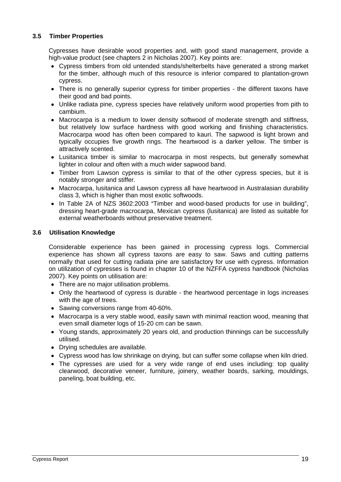## **3.5 Timber Properties**

Cypresses have desirable wood properties and, with good stand management, provide a high-value product (see chapters 2 in Nicholas 2007). Key points are:

- Cypress timbers from old untended stands/shelterbelts have generated a strong market for the timber, although much of this resource is inferior compared to plantation-grown cypress. The contract of the contract of the contract of the contract of the contract of the contract of the contract of the contract of the contract of the contract of the contract of the contract of the contract of the c
- There is no generally superior cypress for timber properties the different taxons have their good and bad points.
- Unlike radiata pine, cypress species have relatively uniform wood properties from pith to cambium.
- Macrocarpa is a medium to lower density softwood of moderate strength and stiffness, but relatively low surface hardness with good working and finishing characteristics. Macrocarpa wood has often been compared to kauri. The sapwood is light brown and typically occupies five growth rings. The heartwood is a darker yellow. The timber is attractively scented.
- Lusitanica timber is similar to macrocarpa in most respects, but generally somewhat lighter in colour and often with a much wider sapwood band.
- Timber from Lawson cypress is similar to that of the other cypress species, but it is notably stronger and stiffer.
- Macrocarpa, lusitanica and Lawson cypress all have heartwood in Australasian durability class 3, which is higher than most exotic softwoods.
- In Table 2A of NZS 3602:2003 "Timber and wood-based products for use in building", dressing heart-grade macrocarpa, Mexican cypress (lusitanica) are listed as suitable for external weatherboards without preservative treatment.

#### **3.6 Utilisation Knowledge**

Considerable experience has been gained in processing cypress logs. Commercial experience has shown all cypress taxons are easy to saw. Saws and cutting patterns normally that used for cutting radiata pine are satisfactory for use with cypress. Information on utilization of cypresses is found in chapter 10 of the NZFFA cypress handbook (Nicholas 2007). Key points on utilisation are:

- There are no major utilisation problems.
- Only the heartwood of cypress is durable the heartwood percentage in logs increases with the age of trees.
- Sawing conversions range from 40-60%.
- Macrocarpa is a very stable wood, easily sawn with minimal reaction wood, meaning that even small diameter logs of 15-20 cm can be sawn.
- Young stands, approximately 20 years old, and production thinnings can be successfully utilised.
- Drying schedules are available.
- Cypress wood has low shrinkage on drying, but can suffer some collapse when kiln dried.
- The cypresses are used for a very wide range of end uses including: top quality clearwood, decorative veneer, furniture, joinery, weather boards, sarking, mouldings, paneling, boat building, etc.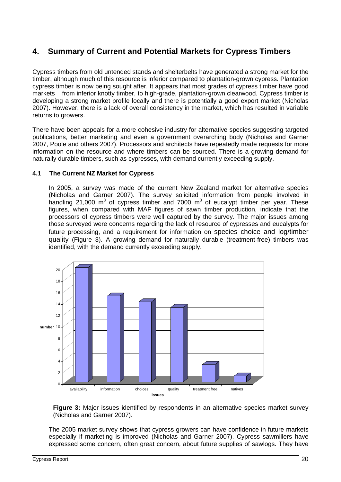## **4. Summary of Current and Potential Markets for Cypress Timbers**

Cypress timbers from old untended stands and shelterbelts have generated a strong market for the timber, although much of this resource is inferior compared to plantation-grown cypress. Plantation cypress timber is now being sought after. It appears that most grades of cypress timber have good markets - from inferior knotty timber, to high-grade, plantation-grown clearwood. Cypress timber is developing a strong market profile locally and there is potentially a good export market (Nicholas 2007). However, there is a lack of overall consistency in the market, which has resulted in variable returns to growers.

There have been appeals for a more cohesive industry for alternative species suggesting targeted publications, better marketing and even a government overarching body (Nicholas and Garner 2007, Poole and others 2007). Processors and architects have repeatedly made requests for more information on the resource and where timbers can be sourced. There is a growing demand for naturally durable timbers, such as cypresses, with demand currently exceeding supply.

#### **4.1 The Current NZ Market for Cypress**

In 2005, a survey was made of the current New Zealand market for alternative species (Nicholas and Garner 2007). The survey solicited information from people involved in handling 21,000 m<sup>3</sup> of cypress timber and 7000 m<sup>3</sup> of eucalypt timber per year. These figures, when compared with MAF figures of sawn timber production, indicate that the processors of cypress timbers were well captured by the survey. The major issues among those surveyed were concerns regarding the lack of resource of cypresses and eucalypts for future processing, and a requirement for information on species choice and log/timber quality (Figure 3). A growing demand for naturally durable (treatment-free) timbers was identified, with the demand currently exceeding supply.



**Figure 3:** Major issues identified by respondents in an alternative species market survey (Nicholas and Garner 2007).

The 2005 market survey shows that cypress growers can have confidence in future markets especially if marketing is improved (Nicholas and Garner 2007). Cypress sawmillers have expressed some concern, often great concern, about future supplies of sawlogs. They have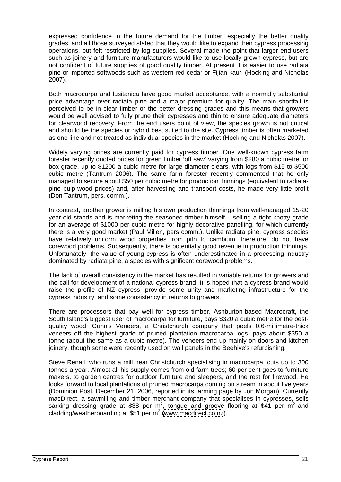expressed confidence in the future demand for the timber, especially the better quality grades, and all those surveyed stated that they would like to expand their cypress processing operations, but felt restricted by log supplies. Several made the point that larger end-users such as joinery and furniture manufacturers would like to use locally-grown cypress, but are not confident of future supplies of good quality timber. At present it is easier to use radiata pine or imported softwoods such as western red cedar or Fijian kauri (Hocking and Nicholas 2007).

Both macrocarpa and lusitanica have good market acceptance, with a normally substantial price advantage over radiata pine and a major premium for quality. The main shortfall is perceived to be in clear timber or the better dressing grades and this means that growers would be well advised to fully prune their cypresses and thin to ensure adequate diameters for clearwood recovery. From the end users point of view, the species grown is not critical and should be the species or hybrid best suited to the site. Cypress timber is often marketed as one line and not treated as individual species in the market (Hocking and Nicholas 2007).

Widely varying prices are currently paid for cypress timber. One well-known cypress farm forester recently quoted prices for green timber 'off saw' varying from \$280 a cubic metre for box grade, up to \$1200 a cubic metre for large diameter clears, with logs from \$15 to \$500 cubic metre (Tantrum 2006). The same farm forester recently commented that he only managed to secure about \$50 per cubic metre for production thinnings (equivalent to radiata pine pulp-wood prices) and, after harvesting and transport costs, he made very little profit (Don Tantrum, pers. comm.).

In contrast, another grower is milling his own production thinnings from well-managed 15-20 year-old stands and is marketing the seasoned timber himself – selling a tight knotty grade for an average of \$1000 per cubic metre for highly decorative panelling, for which currently there is a very good market (Paul Millen, pers comm.). Unlike radiata pine, cypress species have relatively uniform wood properties from pith to cambium, therefore, do not have corewood problems. Subsequently, there is potentially good revenue in production thinnings. Unfortunately, the value of young cypress is often underestimated in a processing industry dominated by radiata pine, a species with significant corewood problems.

The lack of overall consistency in the market has resulted in variable returns for growers and the call for development of a national cypress brand. It is hoped that a cypress brand would raise the profile of NZ cypress, provide some unity and marketing infrastructure for the cypress industry, and some consistency in returns to growers.

There are processors that pay well for cypress timber. Ashburton-based Macrocraft, the South Island's biggest user of macrocarpa for furniture, pays \$320 a cubic metre for the best quality wood. Gunn's Veneers, a Christchurch company that peels 0.6-millimetre-thick veneers off the highest grade of pruned plantation macrocarpa logs, pays about \$350 a tonne (about the same as a cubic metre). The veneers end up mainly on doors and kitchen joinery, though some were recently used on wall panels in the Beehive's refurbishing.

Steve Renall, who runs a mill near Christchurch specialising in macrocarpa, cuts up to 300 tonnes a year. Almost all his supply comes from old farm trees; 60 per cent goes to furniture makers, to garden centres for outdoor furniture and sleepers, and the rest for firewood. He looks forward to local plantations of pruned macrocarpa coming on stream in about five years (Dominion Post, December 21, 2006, reported in its farming page by Jon Morgan). Currently macDirect, a sawmilling and timber merchant company that specialises in cypresses, sells sarking dressing grade at \$38 per m<sup>2</sup>, tongue and groove flooring at \$41 per m<sup>2</sup> and  $2$  and  $2$ cladding/weatherboarding at \$51 per m<sup>2</sup> [\(www.macdirect.co.nz](http://www.macdirect.co.nz)).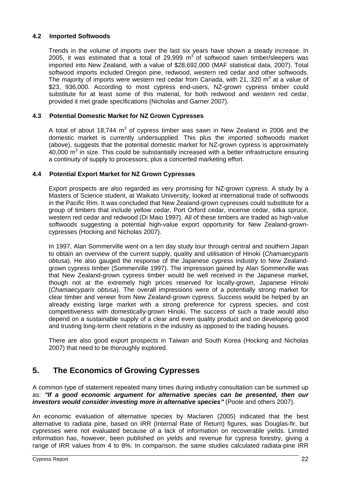#### **4.2 Imported Softwoods**

Trends in the volume of imports over the last six years have shown a steady increase. In 2005, it was estimated that a total of 29,999  $m^3$  of softwood sawn timber/sleepers was imported into New Zealand, with a value of \$28,692,000 (MAF statistical data, 2007). Total softwood imports included Oregon pine, redwood, western red cedar and other softwoods. The majority of imports were western red cedar from Canada, with 21, 320  $\mathrm{m}^3$  at a value of  $3$  at a value of at a value of \$23, 936,000. According to most cypress end-users, NZ-grown cypress timber could substitute for at least some of this material, for both redwood and western red cedar, provided it met grade specifications (Nicholas and Garner 2007).

#### **4.3 Potential Domestic Market for NZ Grown Cypresses**

A total of about 18,744 m<sup>3</sup> of cypress timber was sawn in New Zealand in 2006 and the domestic market is currently undersupplied. This plus the imported softwoods market (above), suggests that the potential domestic market for NZ-grown cypress is approximately 40,000  $\text{m}^3$  in size. This could be substantially increased with a better infrastructure ensuring a continuity of supply to processors, plus a concerted marketing effort.

#### **4.4 Potential Export Market for NZ Grown Cypresses**

Export prospects are also regarded as very promising for NZ-grown cypress. A study by a Masters of Science student, at Waikato University, looked at international trade of softwoods in the Pacific Rim. It was concluded that New Zealand-grown cypresses could substitute for a group of timbers that include yellow cedar, Port Orford cedar, incense cedar, sitka spruce, western red cedar and redwood (Di Maio 1997). All of these timbers are traded as high-value softwoods suggesting a potential high-value export opportunity for New Zealand-grown cypresses (Hocking and Nicholas 2007).

In 1997, Alan Sommerville went on a ten day study tour through central and southern Japan to obtain an overview of the current supply, quality and utilisation of Hinoki (Chamaecyparis obtusa). He also gauged the response of the Japanese cypress industry to New Zealand grown cypress timber (Sommerville 1997). The impression gained by Alan Sommerville was that New Zealand-grown cypress timber would be well received in the Japanese market, though not at the extremely high prices reserved for locally-grown, Japanese Hinoki (Chamaecyparis obtusa). The overall impressions were of a potentially strong market for clear timber and veneer from New Zealand-grown cypress. Success would be helped by an already existing large market with a strong preference for cypress species, and cost competitiveness with domestically-grown Hinoki. The success of such a trade would also depend on a sustainable supply of a clear and even quality product and on developing good and trusting long-term client relations in the industry as opposed to the trading houses.

There are also good export prospects in Taiwan and South Korea (Hocking and Nicholas 2007) that need to be thoroughly explored.

## **5. The Economics of Growing Cypresses**

A common type of statement repeated many times during industry consultation can be summed up as: **If a good economic argument for alternative species can be presented, then our investors would consider investing more in alternative species** (Poole and others 2007).

An economic evaluation of alternative species by Maclaren (2005) indicated that the best alternative to radiata pine, based on IRR (Internal Rate of Return) figures, was Douglas-fir, but cypresses were not evaluated because of a lack of information on recoverable yields. Limited information has, however, been published on yields and revenue for cypress forestry, giving a range of IRR values from 4 to 8%. In comparison, the same studies calculated radiata-pine IRR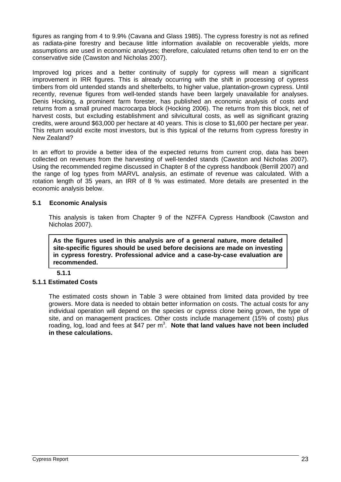figures as ranging from 4 to 9.9% (Cavana and Glass 1985). The cypress forestry is not as refined as radiata-pine forestry and because little information available on recoverable yields, more assumptions are used in economic analyses; therefore, calculated returns often tend to err on the conservative side (Cawston and Nicholas 2007).

Improved log prices and a better continuity of supply for cypress will mean a significant improvement in IRR figures. This is already occurring with the shift in processing of cypress timbers from old untended stands and shelterbelts, to higher value, plantation-grown cypress. Until recently, revenue figures from well-tended stands have been largely unavailable for analyses. Denis Hocking, a prominent farm forester, has published an economic analysis of costs and returns from a small pruned macrocarpa block (Hocking 2006). The returns from this block, net of harvest costs, but excluding establishment and silvicultural costs, as well as significant grazing credits, were around \$63,000 per hectare at 40 years. This is close to \$1,600 per hectare per year. This return would excite most investors, but is this typical of the returns from cypress forestry in New Zealand? **New Zealand New York 2008** 

In an effort to provide a better idea of the expected returns from current crop, data has been collected on revenues from the harvesting of well-tended stands (Cawston and Nicholas 2007). Using the recommended regime discussed in Chapter 8 of the cypress handbook (Berrill 2007) and the range of log types from MARVL analysis, an estimate of revenue was calculated. With a rotation length of 35 years, an IRR of 8 % was estimated. More details are presented in the economic analysis below.

#### **5.1 Economic Analysis**

This analysis is taken from Chapter 9 of the NZFFA Cypress Handbook (Cawston and Nicholas 2007).

**As the figures used in this analysis are of a general nature, more detailed site-specific figures should be used before decisions are made on investing in cypress forestry. Professional advice and a case-by-case evaluation are recommended.**

**5.1.1**

## **5.1.1 Estimated Costs**

The estimated costs shown in Table 3 were obtained from limited data provided by tree growers. More data is needed to obtain better information on costs. The actual costs for any individual operation will depend on the species or cypress clone being grown, the type of site, and on management practices. Other costs include management (15% of costs) plus roading, log, load and fees at \$47 per m 3 . **Note that land values have not been included in these calculations.**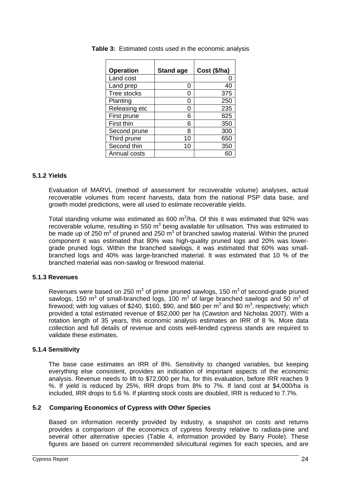| <b>Operation</b> | Stand age       | $\vert$ Cost (\$/ha) |
|------------------|-----------------|----------------------|
| Land cost        |                 |                      |
| Land prep        |                 | 40                   |
| Tree stocks      |                 | 375                  |
| Planting         |                 | 250                  |
| Releasing etc    |                 | 235                  |
| First prune      |                 | 825                  |
| First thin       |                 | 350                  |
| Second prune     | 8               | 300                  |
| Third prune      | 10 <sup>°</sup> | 650                  |
| Second thin      | 10 <sup>°</sup> | 350                  |
| Annual costs     |                 | 60                   |

**Table 3:** Estimated costs used in the economic analysis

## **5.1.2 Yields**

Evaluation of MARVL (method of assessment for recoverable volume) analyses, actual recoverable volumes from recent harvests, data from the national PSP data base, and growth model predictions, were all used to estimate recoverable yields.

Total standing volume was estimated as 600 m<sup>3</sup>/ha. Of this it was estimated that 92% was recoverable volume, resulting in 550 m<sup>3</sup> being available for utilisation. This was estimated to be made up of 250 m<sup>3</sup> of pruned and 250 m<sup>3</sup> of branched sawlog material. Within the pruned component it was estimated that 80% was high-quality pruned logs and 20% was lower grade pruned logs. Within the branched sawlogs, it was estimated that 60% was small branched logs and 40% was large-branched material. It was estimated that 10 % of the branched material was non-sawlog or firewood material.

#### **5.1.3 Revenues**

Revenues were based on 250 m<sup>3</sup> of prime pruned sawlogs, 150 m<sup>3</sup> of second-grade pruned  $^3$  of second-grade pruned sawlogs, 150 m<sup>3</sup> of small-branched logs, 100 m<sup>3</sup> of large branched sawlogs and 50 m<sup>3</sup> of  $3^{\circ}$  of of firewood; with log values of \$240, \$160, \$90, and \$60 per m<sup>3</sup> and \$0 m<sup>3</sup>, respectively; which and \$0 m<sup>3</sup>, respectively; which  $3$  roopootivoly; which , respectively; which provided a total estimated revenue of \$52,000 per ha (Cawston and Nicholas 2007). With a rotation length of 35 years, this economic analysis estimates an IRR of 8 %. More data collection and full details of revenue and costs well-tended cypress stands are required to validate these estimates.

#### **5.1.4 Sensitivity**

The base case estimates an IRR of 8%. Sensitivity to changed variables, but keeping everything else consistent, provides an indication of important aspects of the economic analysis. Revenue needs to lift to \$72,000 per ha, for this evaluation, before IRR reaches 9 %. If yield is reduced by 25%, IRR drops from 8% to 7%. If land cost at \$4,000/ha is included, IRR drops to 5.6 %. If planting stock costs are doubled, IRR is reduced to 7.7%.

#### **5.2 Comparing Economics of Cypress with Other Species**

Based on information recently provided by industry, a snapshot on costs and returns provides a comparison of the economics of cypress forestry relative to radiata-pine and several other alternative species (Table 4, information provided by Barry Poole). These figures are based on current recommended silvicultural regimes for each species, and are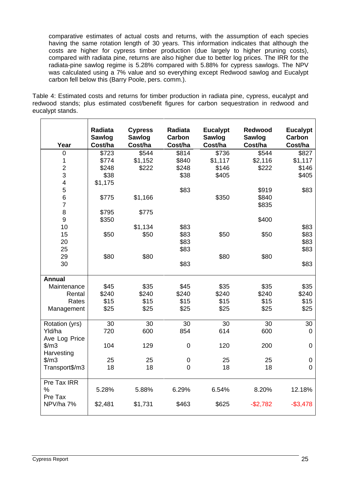comparative estimates of actual costs and returns, with the assumption of each species having the same rotation length of 30 years. This information indicates that although the costs are higher for cypress timber production (due largely to higher pruning costs), compared with radiata pine, returns are also higher due to better log prices. The IRR for the radiata-pine sawlog regime is 5.28% compared with 5.88% for cypress sawlogs. The NPV was calculated using a 7% value and so everything except Redwood sawlog and Eucalypt

carbon fell below this (Barry Poole, pers. comm.). Table 4: Estimated costs and returns for timber production in radiata pine, cypress, eucalypt and redwood stands; plus estimated cost/benefit figures for carbon sequestration in redwood and eucalypt stands.

|                                                                                             | Radiata         | <b>Cypress</b>  | Radiata                      | <b>Eucalypt</b> | Redwood                 | <b>Eucalypt</b> |
|---------------------------------------------------------------------------------------------|-----------------|-----------------|------------------------------|-----------------|-------------------------|-----------------|
|                                                                                             | <b>Sawlog</b>   | <b>Sawlog</b>   | <b>Carbon</b>                | Sawlog          | <b>Sawlog</b>           | Carbon          |
| Year                                                                                        | Cost/ha         | Cost/ha         | Cost/ha                      | Cost/ha         | Cost/ha                 | Cost/ha         |
| $\overline{0}$                                                                              | \$723           | \$544           | \$814                        | \$736           | \$544                   | \$827           |
|                                                                                             | \$774           | \$1,152         | \$840                        | \$1,117         | \$2,116                 | \$1,117         |
|                                                                                             | \$248           | \$222           | \$248                        | \$146<br>\$405  | \$222                   | \$146           |
| $\mathbf{3}$                                                                                | \$38            |                 | \$38                         |                 |                         | \$405           |
| $\overline{4}$                                                                              | \$1,175         |                 |                              |                 |                         |                 |
|                                                                                             |                 |                 | \$83                         |                 | \$919<br>\$840<br>\$835 | \$83            |
|                                                                                             | \$775           | \$1,166         |                              | \$350           |                         |                 |
|                                                                                             |                 |                 |                              |                 |                         |                 |
| 8                                                                                           | \$795           | \$775           |                              |                 |                         |                 |
| 9                                                                                           | \$350           |                 |                              |                 | \$400                   |                 |
| 10                                                                                          |                 | \$1,134         |                              |                 |                         | \$83            |
| 15                                                                                          | \$50            | \$50            | \$83<br>\$83<br>\$83<br>\$83 | \$50            | \$50                    | \$83            |
| 20                                                                                          |                 |                 |                              |                 |                         | \$83            |
| 25                                                                                          |                 |                 |                              |                 |                         | \$83            |
| 29                                                                                          | \$80            | \$80            |                              | \$80            | \$80                    |                 |
| 30 <sup>°</sup>                                                                             |                 |                 | \$83                         |                 |                         | \$83            |
|                                                                                             |                 |                 |                              |                 |                         |                 |
| Annual<br>Maintenance                                                                       |                 |                 |                              |                 |                         |                 |
|                                                                                             | \$45            | $$35$<br>$$240$ | $$45$<br>$$240$<br>$$15$     | \$35<br>\$240   | \$35<br>\$240           | \$35            |
| Renta                                                                                       | \$240           |                 |                              |                 |                         | \$240           |
| Rates                                                                                       | \$15            | \$15            |                              | \$15            | \$15                    | \$15            |
| Management                                                                                  | \$25            | \$25            | \$25                         | \$25            | \$25                    | \$25            |
|                                                                                             |                 |                 |                              |                 |                         |                 |
|                                                                                             | 30 <sub>o</sub> | 30 <sup>°</sup> | 30                           | 30              | 30 <sup>°</sup>         | 30              |
|                                                                                             | 720             | 600             | 854                          | 614             | 600                     |                 |
|                                                                                             |                 |                 |                              |                 |                         |                 |
|                                                                                             | 104             | 129             | $\overline{0}$               | 120             | 200                     |                 |
|                                                                                             |                 |                 |                              |                 |                         |                 |
|                                                                                             | 25              | 25              | $\overline{0}$               | 25              | 25                      |                 |
| Rotation (yrs)<br>Yld/ha<br>Ave Log Price<br>\$/m3<br>Harvesting<br>\$/m3<br>Transport\$/m3 | 18              | 18              | $\overline{0}$               | 18              | 18                      |                 |
|                                                                                             |                 |                 |                              |                 |                         |                 |
| Pre Tax IRR                                                                                 |                 |                 |                              |                 |                         |                 |
| %                                                                                           | 5.28%           | 5.88%           | 6.29%                        | 6.54%           | 8.20%                   | 12.18%          |
| Pre Tax<br>NPV/ha 7%                                                                        |                 |                 |                              |                 |                         |                 |
|                                                                                             | \$2,481         | \$1,731         | \$463                        | \$625           | $-$ \$2,782             | $-$ \$3,478     |
|                                                                                             |                 |                 |                              |                 |                         |                 |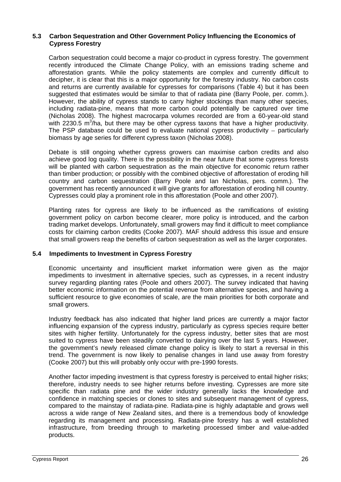#### **5.3 Carbon Sequestration and Other Government Policy Influencing the Economics of Cypress Forestry**

Carbon sequestration could become a major co-product in cypress forestry. The government recently introduced the Climate Change Policy, with an emissions trading scheme and afforestation grants. While the policy statements are complex and currently difficult to decipher, it is clear that this is a major opportunity for the forestry industry. No carbon costs and returns are currently available for cypresses for comparisons (Table 4) but it has been suggested that estimates would be similar to that of radiata pine (Barry Poole, per. comm.). However, the ability of cypress stands to carry higher stockings than many other species, including radiata-pine, means that more carbon could potentially be captured over time (Nicholas 2008). The highest macrocarpa volumes recorded are from a 60-year-old stand with 2230.5 m<sup>3</sup>/ha, but there may be other cypress taxons that have a higher productivity. The PSP database could be used to evaluate national cypress productivity  $-$  particularly biomass by age series for different cypress taxon (Nicholas 2008).

Debate is still ongoing whether cypress growers can maximise carbon credits and also achieve good log quality. There is the possibility in the near future that some cypress forests will be planted with carbon sequestration as the main objective for economic return rather than timber production; or possibly with the combined objective of afforestation of eroding hill country and carbon sequestration (Barry Poole and Ian Nicholas, pers. comm.). The government has recently announced it will give grants for afforestation of eroding hill country. Cypresses could play a prominent role in this afforestation (Poole and other 2007).

Planting rates for cypress are likely to be influenced as the ramifications of existing government policy on carbon become clearer, more policy is introduced, and the carbon trading market develops. Unfortunately, small growers may find it difficult to meet compliance costs for claiming carbon credits (Cooke 2007). MAF should address this issue and ensure that small growers reap the benefits of carbon sequestration as well as the larger corporates.

#### **5.4 Impediments to Investment in Cypress Forestry**

Economic uncertainty and insufficient market information were given as the major impediments to investment in alternative species, such as cypresses, in a recent industry survey regarding planting rates (Poole and others 2007). The survey indicated that having better economic information on the potential revenue from alternative species, and having a sufficient resource to give economies of scale, are the main priorities for both corporate and small growers.

Industry feedback has also indicated that higher land prices are currently a major factor influencing expansion of the cypress industry, particularly as cypress species require better sites with higher fertility. Unfortunately for the cypress industry, better sites that are most suited to cypress have been steadily converted to dairying over the last 5 years. However, the government's newly released climate change policy is likely to start a reversal in this trend. The government is now likely to penalise changes in land use away from forestry (Cooke 2007) but this will probably only occur with pre-1990 forests.

Another factor impeding investment is that cypress forestry is perceived to entail higher risks; therefore, industry needs to see higher returns before investing. Cypresses are more site specific than radiata pine and the wider industry generally lacks the knowledge and confidence in matching species or clones to sites and subsequent management of cypress, compared to the mainstay of radiata-pine. Radiata-pine is highly adaptable and grows well across a wide range of New Zealand sites, and there is a tremendous body of knowledge regarding its management and processing. Radiata-pine forestry has a well established infrastructure, from breeding through to marketing processed timber and value-added products.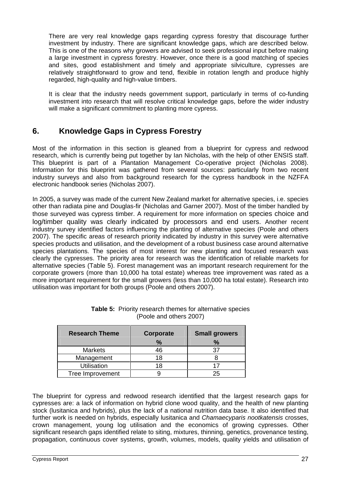There are very real knowledge gaps regarding cypress forestry that discourage further investment by industry. There are significant knowledge gaps, which are described below. This is one of the reasons why growers are advised to seek professional input before making a large investment in cypress forestry. However, once there is a good matching of species and sites, good establishment and timely and appropriate silviculture, cypresses are relatively straightforward to grow and tend, flexible in rotation length and produce highly regarded, high-quality and high-value timbers.

It is clear that the industry needs government support, particularly in terms of co-funding investment into research that will resolve critical knowledge gaps, before the wider industry will make a significant commitment to planting more cypress.

## **6. Knowledge Gaps in Cypress Forestry**

Most of the information in this section is gleaned from a blueprint for cypress and redwood research, which is currently being put together by Ian Nicholas, with the help of other ENSIS staff. This blueprint is part of a Plantation Management Co-operative project (Nicholas 2008). Information for this blueprint was gathered from several sources: particularly from two recent industry surveys and also from background research for the cypress handbook in the NZFFA electronic handbook series (Nicholas 2007).

In 2005, a survey was made of the current New Zealand market for alternative species, i.e. species other than radiata pine and Douglas-fir (Nicholas and Garner 2007). Most of the timber handled by those surveyed was cypress timber. A requirement for more information on species choice and log/timber quality was clearly indicated by processors and end users. Another recent industry survey identified factors influencing the planting of alternative species (Poole and others 2007). The specific areas of research priority indicated by industry in this survey were alternative species products and utilisation, and the development of a robust business case around alternative species plantations. The species of most interest for new planting and focused research was clearly the cypresses. The priority area for research was the identification of reliable markets for alternative species (Table 5). Forest management was an important research requirement for the corporate growers (more than 10,000 ha total estate) whereas tree improvement was rated as a more important requirement for the small growers (less than 10,000 ha total estate). Research into utilisation was important for both groups (Poole and others 2007).

| <b>Research Theme</b> | Corporate      | Small growers |
|-----------------------|----------------|---------------|
|                       |                |               |
| Markets               | $\sqrt{2}$     | $\sim$        |
| Management            | $\overline{ }$ |               |
| Utilisation           |                |               |
| Tree Improvement      |                | ້∠ປ           |

| Table<br>r alternative species<br>, themes for<br>/ research<br>コ いへ いい<br>11 U JI 11<br>. |  |
|--------------------------------------------------------------------------------------------|--|
| others 2007 $^{\circ}$<br>100<br>$\sim$ $\sim$ $\sim$<br>.                                 |  |

The blueprint for cypress and redwood research identified that the largest research gaps for cypresses are: a lack of information on hybrid clone wood quality, and the health of new planting stock (lusitanica and hybrids), plus the lack of a national nutrition data base. It also identified that further work is needed on hybrids, especially lusitanica and Chamaecyparis nootkatensis crosses, crown management, young log utilisation and the economics of growing cypresses. Other significant research gaps identified relate to siting, mixtures, thinning, genetics, provenance testing, propagation, continuous cover systems, growth, volumes, models, quality yields and utilisation of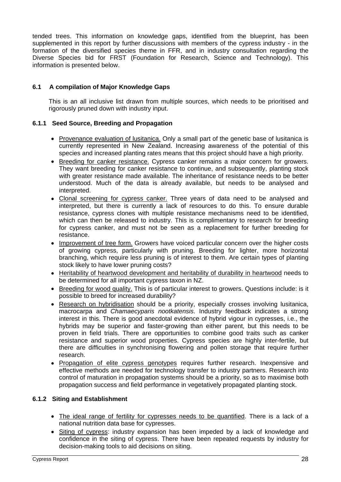tended trees. This information on knowledge gaps, identified from the blueprint, has been supplemented in this report by further discussions with members of the cypress industry - in the formation of the diversified species theme in FFR, and in industry consultation regarding the Diverse Species bid for FRST (Foundation for Research, Science and Technology). This information is presented below.

## **6.1 A compilation of Major Knowledge Gaps**

This is an all inclusive list drawn from multiple sources, which needs to be prioritised and rigorously pruned down with industry input.

## **6.1.1 Seed Source, Breeding and Propagation**

- Provenance evaluation of lusitanica. Only a small part of the genetic base of lusitanica is currently represented in New Zealand. Increasing awareness of the potential of this species and increased planting rates means that this project should have a high priority.
- **Breeding for canker resistance.** Cypress canker remains a major concern for growers. They want breeding for canker resistance to continue, and subsequently, planting stock with greater resistance made available. The inheritance of resistance needs to be better understood. Much of the data is already available, but needs to be analysed and interpreted.
- Clonal screening for cypress canker. Three years of data need to be analysed and interpreted, but there is currently a lack of resources to do this. To ensure durable resistance, cypress clones with multiple resistance mechanisms need to be identified, which can then be released to industry. This is complimentary to research for breeding for cypress canker, and must not be seen as a replacement for further breeding for resistance. The contract of the contract of the contract of the contract of the contract of the contract of the contract of the contract of the contract of the contract of the contract of the contract of the contract of th
- Improvement of tree form. Growers have voiced particular concern over the higher costs of growing cypress, particularly with pruning. Breeding for lighter, more horizontal branching, which require less pruning is of interest to them. Are certain types of planting stock likely to have lower pruning costs?
- Heritability of heartwood development and heritability of durability in heartwood needs to be determined for all important cypress taxon in NZ.
- Breeding for wood quality. This is of particular interest to growers. Questions include: is it possible to breed for increased durability?
- Research on hybridisation should be a priority, especially crosses involving lusitanica, macrocarpa and Chamaecyparis nootkatensis. Industry feedback indicates a strong interest in this. There is good anecdotal evidence of hybrid vigour in cypresses, i.e., the hybrids may be superior and faster-growing than either parent, but this needs to be proven in field trials. There are opportunities to combine good traits such as canker resistance and superior wood properties. Cypress species are highly inter-fertile, but there are difficulties in synchronising flowering and pollen storage that require further research. **Executive Section 2006 Contract Contract Contract Contract Contract Contract Contract Contract Contract Contract Contract Contract Contract Contract Contract Contract Contract Contract Contract Contract Contra**
- Propagation of elite cypress genotypes requires further research. Inexpensive and effective methods are needed for technologytransfer to industry partners. Research into control of maturation in propagation systems should be a priority, so as to maximise both propagation success and field performance in vegetatively propagated planting stock.

#### **6.1.2 Siting and Establishment**

- The ideal range of fertility for cypresses needs to be quantified. There is a lack of a national nutrition data base for cypresses.
- Siting of cypress: industry expansion has been impeded by a lack of knowledge and confidence in the siting of cypress. There have been repeated requests by industry for decision-making tools to aid decisions on siting.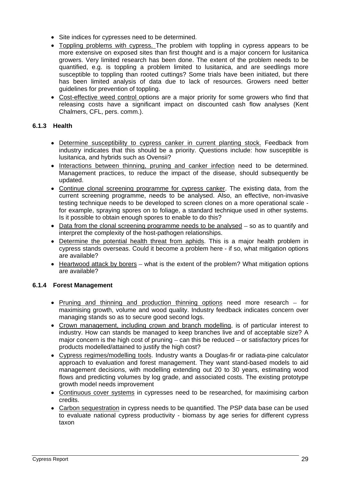- Site indices for cypresses need to be determined.
- Toppling problems with cypress. The problem with toppling in cypress appears to be more extensive on exposed sites than first thought and is a major concern for lusitanica growers. Very limited research has been done. The extent of the problem needs to be quantified, e.g. is toppling a problem limited to lusitanica, and are seedlings more susceptible to toppling than rooted cuttings? Some trials have been initiated, but there has been limited analysis of data due to lack of resources. Growers need better guidelines for prevention of toppling.
- Cost-effective weed control options are a major priority for some growers who find that releasing costs have a significant impact on discounted cash flow analyses (Kent Chalmers, CFL, pers. comm.).

## **6.1.3 Health**

- Determine susceptibility to cypress canker in current planting stock. Feedback from industry indicates that this should be a priority. Questions include: how susceptible is lusitanica, and hybrids such as Ovensii?
- Interactions between thinning, pruning and canker infection need to be determined. Management practices, to reduce the impact of the disease, should subsequently be updated.
- Continue clonal screening programme for cypress canker. The existing data, from the current screening programme, needs to be analysed. Also, an effective, non-invasive testing technique needs to be developed to screen clones on a more operational scale for example, spraying spores on to foliage, a standard technique used in other systems. Is it possible to obtain enough spores to enable to do this?
- $\bullet$  Data from the clonal screening programme needs to be analysed  $-$  so as to quantify and interpret the complexity of the host-pathogen relationships.
- Determine the potential health threat from aphids. This is a major health problem in cypress stands overseas. Could it become a problem here - if so, what mitigation options are available?
- $\bullet$  Heartwood attack by borers what is the extent of the problem? What mitigation options are available?

#### **6.1.4 Forest Management**

- Pruning and thinning and production thinning options need more research  $-$  for maximising growth, volume and wood quality. Industry feedback indicates concern over managing stands so as to secure good second logs.
- Crown management, including crown and branch modelling, is of particular interest to industry. How can stands be managed to keep branches live and of acceptable size? A major concern is the high cost of pruning  $-$  can this be reduced  $-$  or satisfactory prices for products modelled/attained to justify the high cost?
- Cypress regimes/modelling tools. Industry wants a Douglas-fir or radiata-pine calculator approach to evaluation and forest management. They want stand-based models to aid management decisions, with modelling extending out 20 to 30 years, estimating wood flows and predicting volumes by log grade, and associated costs. The existing prototype growth model needs improvement
- Continuous cover systems in cypresses need to be researched, for maximising carbon credits.
- Carbon sequestration in cypress needs to be quantified. The PSP data base can be used to evaluate national cypress productivity - biomass by age series for different cypress taxon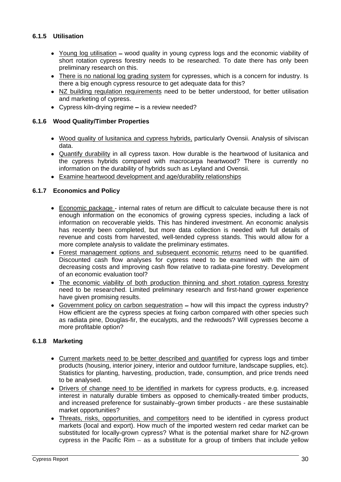## **6.1.5 Utilisation**

- Young log utilisation wood quality in young cypress logs and the economic viability of short rotation cypress forestry needs to be researched. To date there has only been preliminary research on this.
- There is no national log grading system for cypresses, which is a concern for industry. Is there a big enough cypress resource to get adequate data for this?
- NZ building regulation requirements need to be better understood, for better utilisation and marketing of cypress.
- Cypress kiln-drying regime  $-$  is a review needed?

#### **6.1.6 Wood Quality/Timber Properties**

- Wood quality of lusitanica and cypress hybrids, particularly Ovensii. Analysis of silviscan data.
- Quantify durability in all cypress taxon. How durable is the heartwood of lusitanica and the cypress hybrids compared with macrocarpa heartwood? There is currently no information on the durability of hybrids such as Leyland and Ovensii.
- Examine heartwood development and age/durability relationships

#### **6.1.7 Economics and Policy**

- Economic package internal rates of return are difficult to calculate because there is not enough information on the economics of growing cypress species, including a lack of information on recoverable yields. This has hindered investment. An economic analysis has recently been completed, but more data collection is needed with full details of revenue and costs from harvested, well-tended cypress stands. This would allow for a more complete analysis to validate the preliminary estimates.
- Forest management options and subsequent economic returns need to be quantified. Discounted cash flow analyses for cypress need to be examined with the aim of decreasing costs and improving cash flow relative to radiata-pine forestry. Development of an economic evaluation tool?
- The economic viability of both production thinning and short rotation cypress forestry need to be researched. Limited preliminary research and first-hand grower experience have given promising results.
- Government policy on carbon sequestration how will this impact the cypress industry? How efficient are the cypress species at fixing carbon compared with other species such as radiata pine, Douglas-fir, the eucalypts, and the redwoods? Will cypresses become a more profitable option?

#### **6.1.8 Marketing**

- Current markets need to be better described and quantified for cypress logs and timber products (housing, interior joinery, interior and outdoor furniture, landscape supplies, etc). Statistics for planting, harvesting, production, trade, consumption, and price trends need to be analysed.
- Drivers of change need to be identified in markets for cypress products, e.g. increased interest in naturally durable timbers as opposed to chemically-treated timber products, and increased preference for sustainably–grown timber products - are these sustainable market opportunities?
- Threats, risks, opportunities, and competitors need to be identified in cypress product markets (local and export). How much of the imported western red cedar market can be substituted for locally-grown cypress? What is the potential market share for NZ-grown cypress in the Pacific Rim  $-$  as a substitute for a group of timbers that include yellow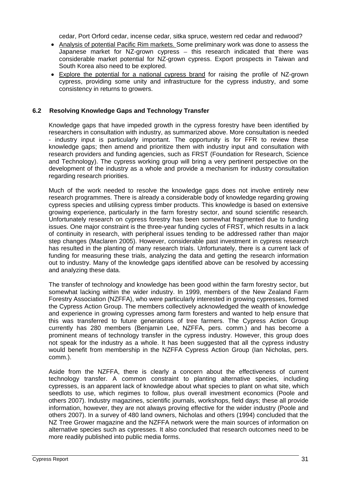cedar, Port Orford cedar, incense cedar, sitka spruce, western red cedar and redwood?

- Analysis of potential Pacific Rim markets. Some preliminary work was done to assess the Japanese market for NZ-grown cypress  $-$  this research indicated that there was considerable market potential for NZ-grown cypress. Export prospects in Taiwan and South Korea also need to be explored.
- Explore the potential for a national cypress brand for raising the profile of NZ-grown cypress, providing some unity and infrastructure for the cypress industry, and some consistency in returns to growers.

#### **6.2 Resolving Knowledge Gaps and Technology Transfer**

Knowledge gaps that have impeded growth in the cypress forestry have been identified by researchers in consultation with industry, as summarized above. More consultation is needed - industry input is particularly important. The opportunity is for FFR to review these knowledge gaps; then amend and prioritize them with industry input and consultation with research providers and funding agencies, such as FRST (Foundation for Research, Science and Technology). The cypress working group will bring a very pertinent perspective on the development of the industry as a whole and provide a mechanism for industry consultation regarding research priorities.

Much of the work needed to resolve the knowledge gaps does not involve entirely new research programmes. There is already a considerable body of knowledge regarding growing cypress species and utilising cypress timber products. This knowledge is based on extensive growing experience, particularly in the farm forestry sector, and sound scientific research. Unfortunately research on cypress forestry has been somewhat fragmented due to funding issues. One major constraint is the three-year funding cycles of FRST, which results in a lack of continuity in research, with peripheral issues tending to be addressed rather than major step changes (Maclaren 2005). However, considerable past investment in cypress research has resulted in the planting of many research trials. Unfortunately, there is a current lack of funding for measuring these trials, analyzing the data and getting the research information out to industry. Many of the knowledge gaps identified above can be resolved by accessing and analyzing these data.

The transfer of technology and knowledge has been good within the farm forestry sector, but somewhat lacking within the wider industry. In 1999, members of the New Zealand Farm Forestry Association (NZFFA), who were particularly interested in growing cypresses, formed the Cypress Action Group. The members collectively acknowledged the wealth of knowledge and experience in growing cypresses among farm foresters and wanted to help ensure that this was transferred to future generations of tree farmers. The Cypress Action Group currently has 280 members (Benjamin Lee, NZFFA, pers. comm.) and has become a prominent means of technology transfer in the cypress industry. However, this group does not speak for the industry as a whole. It has been suggested that all the cypress industry would benefit from membership in the NZFFA Cypress Action Group (Ian Nicholas, pers. comm.).

Aside from the NZFFA, there is clearly a concern about the effectiveness of current technology transfer. A common constraint to planting alternative species, including cypresses, is an apparent lack of knowledge about what species to plant on what site, which seedlots to use, which regimes to follow, plus overall investment economics (Poole and others 2007). Industry magazines, scientific journals, workshops, field days; these all provide information, however, they are not always proving effective for the wider industry (Poole and others 2007). In a survey of 480 land owners, Nicholas and others (1994) concluded that the NZ Tree Grower magazine and the NZFFA network were the main sources of information on alternative species such as cypresses. It also concluded that research outcomes need to be more readily published into public media forms.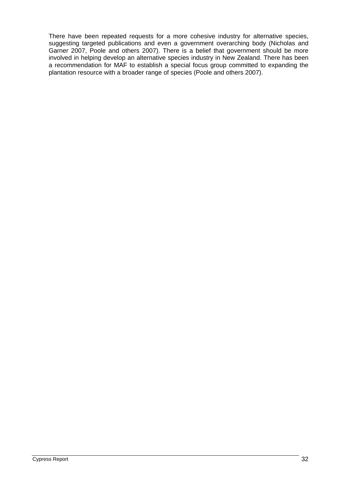There have been repeated requests for a more cohesive industry for alternative species, suggesting targeted publications and even a government overarching body (Nicholas and Garner 2007, Poole and others 2007). There is a belief that government should be more involved in helping develop an alternative species industry in New Zealand. There has been a recommendation for MAF to establish a special focus group committed to expanding the plantation resource with a broader range of species (Poole and others 2007).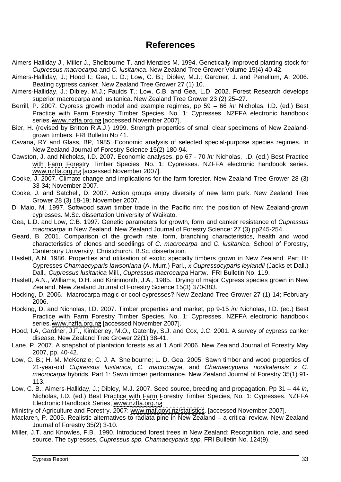## **References**

- Aimers-Halliday J., Miller J., Shelbourne T. and Menzies M. 1994. Genetically improved planting stock for Cupressus macrocarpa and C. lusitanica. New Zealand Tree Grower Volume 15(4) 40-42.
- Aimers-Halliday, J.; Hood I.; Gea, L. D.; Low, C. B.; Dibley, M.J.; Gardner, J. and Penellum, A. 2006. Beating cypress canker. New Zealand Tree Grower 27 (1) 10.
- Aimers-Halliday, J.; Dibley, M.J.; Faulds T.; Low, C.B. and Gea, L.D. 2002. Forest Research develops superior macrocarpa and lusitanica. New Zealand Tree Grower 23 (2) 25-27.
- Berrill, P. 2007. Cypress growth model and example regimes, pp 59 66 in: Nicholas, I.D. (ed.) Best Practice with Farm Forestry Timber Species, No. 1: Cypresses. NZFFA electronic handbook series. www.nzffa.org.nz [accessed November 2007].<br>Bier, H. (revised by Britton R.A.J.) 1999. Strength properties of small clear specimens of New Zealand-
- grown timbers. FRI Bulletin No 41.
- Cavana, RY and Glass, BP, 1985. Economic analysis of selected special-purpose species regimes. In New Zealand Journal of Forestry Science 15(2) 180-94.
- Cawston, J. and Nicholas, I.D. 2007. Economic analyses, pp 67 70 in: Nicholas, I.D. (ed.) Best Practice with Farm Forestry Timber Species, No. 1: Cypresses. NZFFA electronic handbook series.<br>[www.nzffa.org.nz](http://www.nzffa.org.nz) [accessed November 2007].
- Cooke, J. 2007. Climate change and implications for the farm forester. New Zealand Tree Grower 28 (3) 33-34; November 2007.
- Cooke, J. and Satchell, D. 2007. Action groups enjoy diversity of new farm park. New Zealand Tree Grower 28 (3) 18-19; November 2007.
- Di Maio, M. 1997. Softwood sawn timber trade in the Pacific rim: the position of New Zealand-grown cypresses. M.Sc. dissertation University of Waikato.
- Gea, L.D. and Low, C.B. 1997. Genetic parameters for growth, form and canker resistance of Cupressus macrocarpa in New Zealand. New Zealand Journal of Forestry Science: 27 (3) pp245-254.
- Geard, B. 2001. Comparison of the growth rate, form, branching characteristics, health and wood characteristics of clones and seedlings of C. macrocarpa and C. lusitanica. School of Forestry, Canterbury University, Christchurch. B.Sc. dissertation.
- Haslett, A.N. 1986. Properties and utilisation of exotic specialty timbers grown in New Zealand. Part III: Cypresses Chamaecyparis lawsoniana (A. Murr.) Parl., x Cupressocyparis leylandii (Jacks et Dall.) Dall., Cupressus lusitanica Mill., Cupressus macrocarpa Hartw. FRI Bulletin No. 119.
- Haslett, A.N., Williams, D.H. and Kininmonth, J.A., 1985. Drying of major Cypress species grown in New Zealand. New Zealand Journal of Forestry Science 15(3) 370-383.
- Hocking, D. 2006. Macrocarpa magic or cool cypresses? New Zealand Tree Grower 27 (1) 14; February 2006.
- Hocking, D. and Nicholas, I.D. 2007. Timber properties and market, pp 9-15 in: Nicholas, I.D. (ed.) Best Practice with Farm Forestry Timber Species, No. 1: Cypresses. NZFFA electronic handbook series. [www.nzffa.org.nz](http://www.nzffa.org.nz) [accessed November 2007].
- Hood, I.A, Gardner, J.F., Kimberley, M.O., Gatenby, S.J. and Cox, J.C. 2001. A survey of cypress canker disease. New Zealand Tree Grower 22(1) 38-41.
- Lane, P. 2007. A snapshot of plantation forests as at 1 April 2006. New Zealand Journal of Forestry May 2007, pp. 40-42.
- Low, C. B.; H. M. McKenzie; C. J. A. Shelbourne; L. D. Gea, 2005. Sawn timber and wood properties of 21-year-old Cupressus lusitanica, C. macrocarpa, and Chamaecyparis nootkatensis x C. macrocarpa hybrids. Part 1: Sawn timber performance. New Zealand Journal of Forestry 35(1) 91-113.
- Low, C. B.; Aimers-Halliday, J.; Dibley, M.J. 2007. Seed source, breeding and propagation. Pp 31 44 in,<br>Nicholas, I.D. (ed.) Best Practice with Farm Forestry Timber Species, No. 1: Cypresses. NZFFA Electronic Handbook Series, [www.nzffa.org.nz](http://www.nzffa.org.nz)
- Ministry of Agriculture and Forestry. 2007: [www.maf.govt.nz/statistics](http://www.maf.govt.nz/statistics). [accessed November 2007].
- Maclaren, P. 2005. Realistic alternatives to radiata pine in New Zealand a critical review. New Zealand Journal of Forestry 35(2) 3-10.
- Miller, J.T. and Knowles, F.B., 1990. Introduced forest trees in New Zealand: Recognition, role, and seed source. The cypresses, Cupressus spp, Chamaecyparis spp. FRI Bulletin No. 124(9).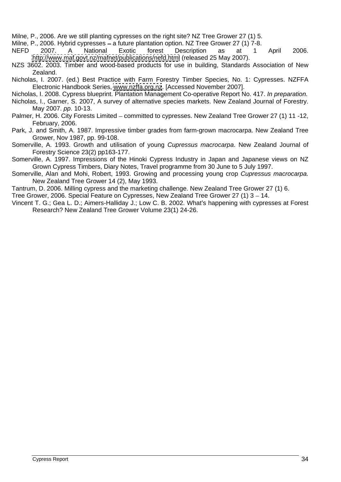Milne, P., 2006. Are we still planting cypresses on the right site? NZ Tree Grower 27 (1) 5.

Milne, P., 2006. Hybrid cypresses – a future plantation option. NZ Tree Grower 27 (1) 7-8.

NEFD 2007. A National Exotic forest Description as at 1 April 2006. <http://www.maf.govt.nz/mafnet/publications/nefd.html> (released 25 May 2007).

- NZS 3602. 2003. Timber and wood-based products for use in building, Standards Association of New Zealand.
- Nicholas, I. 2007. (ed.) Best Practice with Farm Forestry Timber Species, No. 1: Cypresses. NZFFA Electronic Handbook Series, [www.nzffa.org.nz](http://www.nzffa.org.nz). [Accessed November 2007].

Nicholas, I. 2008. Cypress blueprint. Plantation Management Co-operative Report No. 417. In preparation.

- Nicholas, I., Garner, S. 2007, A survey of alternative species markets. New Zealand Journal of Forestry. May 2007. pp. 10-13.
- Palmer, H. 2006. City Forests Limited committed to cypresses. New Zealand Tree Grower 27 (1) 11 -12, February, 2006.
- Park, J. and Smith, A. 1987. Impressive timber grades from farm-grown macrocarpa. New Zealand Tree Grower, Nov 1987, pp. 99-108.
- Somerville, A. 1993. Growth and utilisation of young Cupressus macrocarpa. New Zealand Journal of Forestry Science 23(2) pp163-177.

Somerville, A. 1997. Impressions of the Hinoki Cypress Industry in Japan and Japanese views on NZ Grown Cypress Timbers, Diary Notes, Travel programme from 30 June to 5 July 1997.

Somerville, Alan and Mohi, Robert, 1993. Growing and processing young crop Cupressus macrocarpa. New Zealand Tree Grower 14 (2), May 1993.

Tantrum, D. 2006. Milling cypress and the marketing challenge. New Zealand Tree Grower 27 (1) 6.

Tree Grower, 2006. Special Feature on Cypresses. New Zealand Tree Grower 27 (1) 3 – 14.

Vincent T. G.; Gea L. D.; Aimers-Halliday J.; Low C. B. 2002. What's happening with cypresses at Forest Research? New Zealand Tree Grower Volume 23(1) 24-26.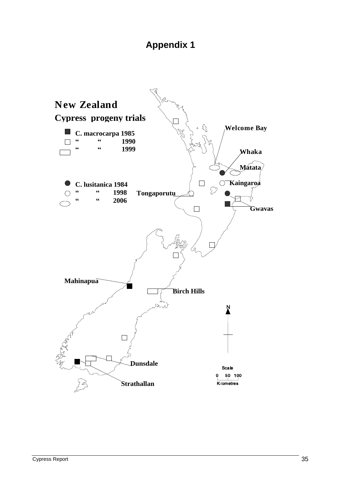## **Appendix 1**

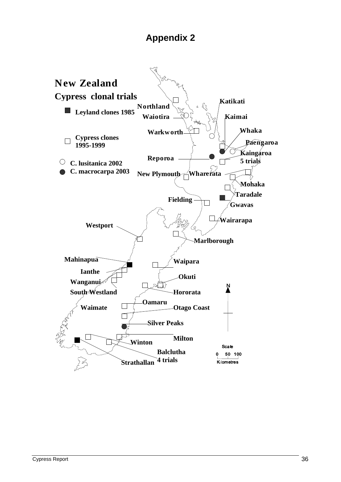## **Appendix 2**